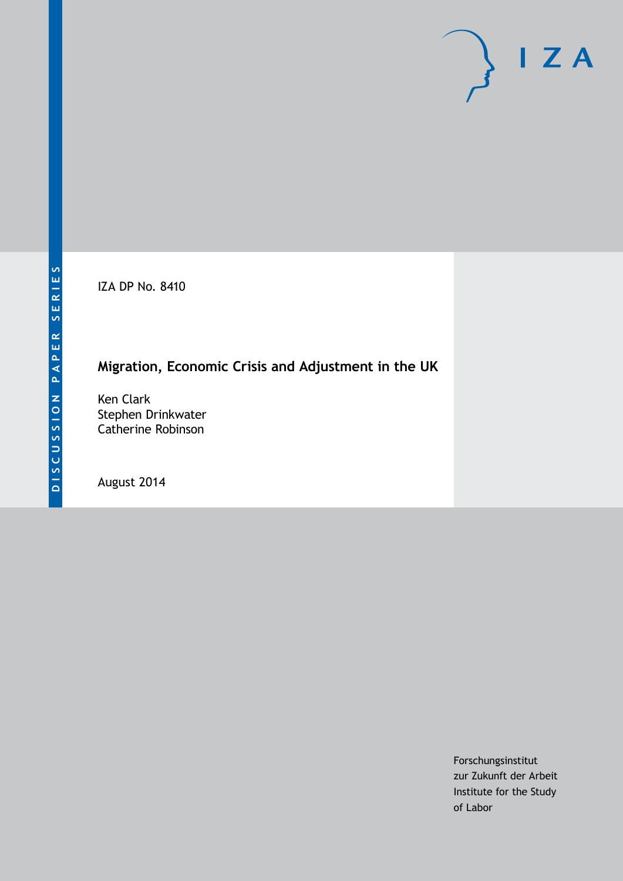IZA DP No. 8410

# **Migration, Economic Crisis and Adjustment in the UK**

Ken Clark Stephen Drinkwater Catherine Robinson

August 2014

Forschungsinstitut zur Zukunft der Arbeit Institute for the Study of Labor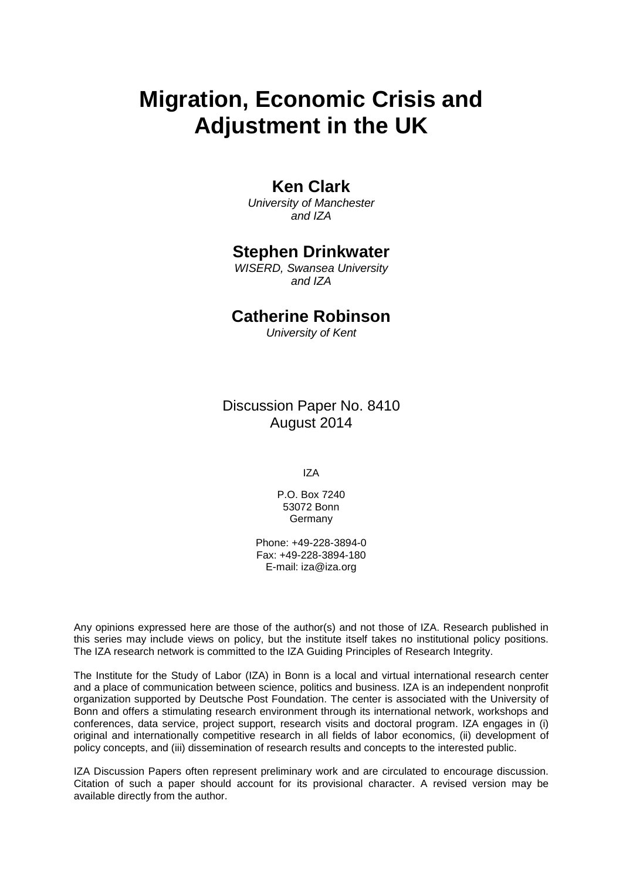# **Migration, Economic Crisis and Adjustment in the UK**

### **Ken Clark**

*University of Manchester and IZA*

### **Stephen Drinkwater**

*WISERD, Swansea University and IZA*

### **Catherine Robinson**

*University of Kent*

Discussion Paper No. 8410 August 2014

IZA

P.O. Box 7240 53072 Bonn Germany

Phone: +49-228-3894-0 Fax: +49-228-3894-180 E-mail: [iza@iza.org](mailto:iza@iza.org)

Any opinions expressed here are those of the author(s) and not those of IZA. Research published in this series may include views on policy, but the institute itself takes no institutional policy positions. The IZA research network is committed to the IZA Guiding Principles of Research Integrity.

The Institute for the Study of Labor (IZA) in Bonn is a local and virtual international research center and a place of communication between science, politics and business. IZA is an independent nonprofit organization supported by Deutsche Post Foundation. The center is associated with the University of Bonn and offers a stimulating research environment through its international network, workshops and conferences, data service, project support, research visits and doctoral program. IZA engages in (i) original and internationally competitive research in all fields of labor economics, (ii) development of policy concepts, and (iii) dissemination of research results and concepts to the interested public.

<span id="page-1-0"></span>IZA Discussion Papers often represent preliminary work and are circulated to encourage discussion. Citation of such a paper should account for its provisional character. A revised version may be available directly from the author.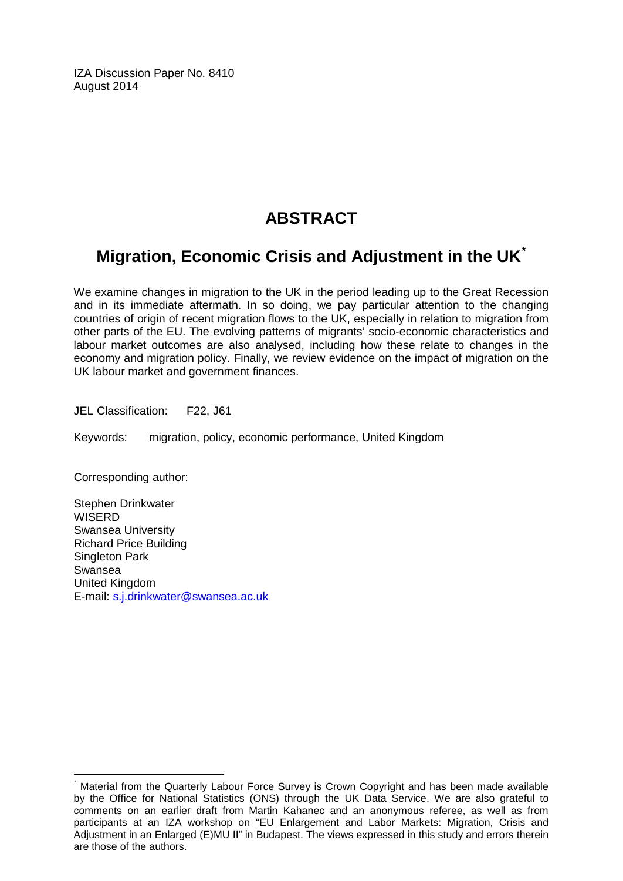IZA Discussion Paper No. 8410 August 2014

# **ABSTRACT**

# **Migration, Economic Crisis and Adjustment in the UK[\\*](#page-1-0)**

We examine changes in migration to the UK in the period leading up to the Great Recession and in its immediate aftermath. In so doing, we pay particular attention to the changing countries of origin of recent migration flows to the UK, especially in relation to migration from other parts of the EU. The evolving patterns of migrants' socio-economic characteristics and labour market outcomes are also analysed, including how these relate to changes in the economy and migration policy. Finally, we review evidence on the impact of migration on the UK labour market and government finances.

JEL Classification: F22, J61

Keywords: migration, policy, economic performance, United Kingdom

Corresponding author:

Stephen Drinkwater **WISERD** Swansea University Richard Price Building Singleton Park Swansea United Kingdom E-mail: [s.j.drinkwater@swansea.ac.uk](mailto:s.j.drinkwater@swansea.ac.uk)

Material from the Quarterly Labour Force Survey is Crown Copyright and has been made available by the Office for National Statistics (ONS) through the UK Data Service. We are also grateful to comments on an earlier draft from Martin Kahanec and an anonymous referee, as well as from participants at an IZA workshop on "EU Enlargement and Labor Markets: Migration, Crisis and Adjustment in an Enlarged (E)MU II" in Budapest. The views expressed in this study and errors therein are those of the authors.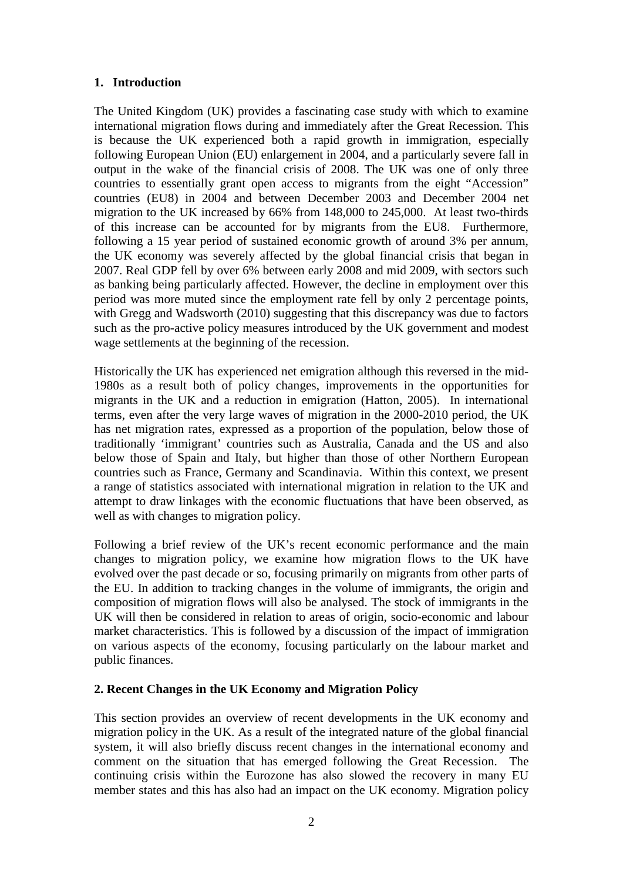#### **1. Introduction**

The United Kingdom (UK) provides a fascinating case study with which to examine international migration flows during and immediately after the Great Recession. This is because the UK experienced both a rapid growth in immigration, especially following European Union (EU) enlargement in 2004, and a particularly severe fall in output in the wake of the financial crisis of 2008. The UK was one of only three countries to essentially grant open access to migrants from the eight "Accession" countries (EU8) in 2004 and between December 2003 and December 2004 net migration to the UK increased by 66% from 148,000 to 245,000. At least two-thirds of this increase can be accounted for by migrants from the EU8. Furthermore, following a 15 year period of sustained economic growth of around 3% per annum, the UK economy was severely affected by the global financial crisis that began in 2007. Real GDP fell by over 6% between early 2008 and mid 2009, with sectors such as banking being particularly affected. However, the decline in employment over this period was more muted since the employment rate fell by only 2 percentage points, with Gregg and Wadsworth (2010) suggesting that this discrepancy was due to factors such as the pro-active policy measures introduced by the UK government and modest wage settlements at the beginning of the recession.

Historically the UK has experienced net emigration although this reversed in the mid-1980s as a result both of policy changes, improvements in the opportunities for migrants in the UK and a reduction in emigration (Hatton, 2005). In international terms, even after the very large waves of migration in the 2000-2010 period, the UK has net migration rates, expressed as a proportion of the population, below those of traditionally 'immigrant' countries such as Australia, Canada and the US and also below those of Spain and Italy, but higher than those of other Northern European countries such as France, Germany and Scandinavia. Within this context, we present a range of statistics associated with international migration in relation to the UK and attempt to draw linkages with the economic fluctuations that have been observed, as well as with changes to migration policy.

Following a brief review of the UK's recent economic performance and the main changes to migration policy, we examine how migration flows to the UK have evolved over the past decade or so, focusing primarily on migrants from other parts of the EU. In addition to tracking changes in the volume of immigrants, the origin and composition of migration flows will also be analysed. The stock of immigrants in the UK will then be considered in relation to areas of origin, socio-economic and labour market characteristics. This is followed by a discussion of the impact of immigration on various aspects of the economy, focusing particularly on the labour market and public finances.

#### **2. Recent Changes in the UK Economy and Migration Policy**

This section provides an overview of recent developments in the UK economy and migration policy in the UK. As a result of the integrated nature of the global financial system, it will also briefly discuss recent changes in the international economy and comment on the situation that has emerged following the Great Recession. The continuing crisis within the Eurozone has also slowed the recovery in many EU member states and this has also had an impact on the UK economy. Migration policy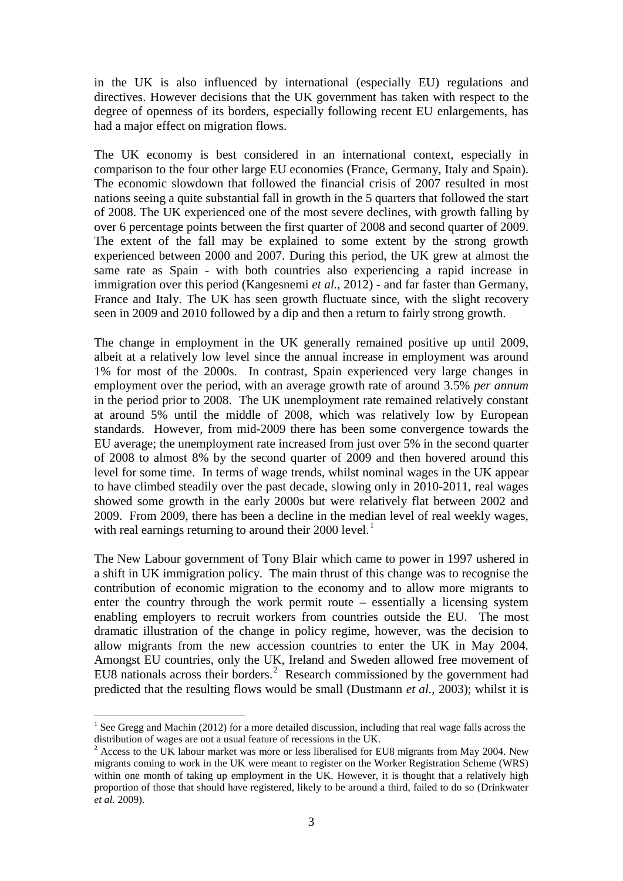in the UK is also influenced by international (especially EU) regulations and directives. However decisions that the UK government has taken with respect to the degree of openness of its borders, especially following recent EU enlargements, has had a major effect on migration flows.

The UK economy is best considered in an international context, especially in comparison to the four other large EU economies (France, Germany, Italy and Spain). The economic slowdown that followed the financial crisis of 2007 resulted in most nations seeing a quite substantial fall in growth in the 5 quarters that followed the start of 2008. The UK experienced one of the most severe declines, with growth falling by over 6 percentage points between the first quarter of 2008 and second quarter of 2009. The extent of the fall may be explained to some extent by the strong growth experienced between 2000 and 2007. During this period, the UK grew at almost the same rate as Spain - with both countries also experiencing a rapid increase in immigration over this period (Kangesnemi *et al.*, 2012) - and far faster than Germany, France and Italy. The UK has seen growth fluctuate since, with the slight recovery seen in 2009 and 2010 followed by a dip and then a return to fairly strong growth.

The change in employment in the UK generally remained positive up until 2009, albeit at a relatively low level since the annual increase in employment was around 1% for most of the 2000s. In contrast, Spain experienced very large changes in employment over the period, with an average growth rate of around 3.5% *per annum* in the period prior to 2008. The UK unemployment rate remained relatively constant at around 5% until the middle of 2008, which was relatively low by European standards. However, from mid-2009 there has been some convergence towards the EU average; the unemployment rate increased from just over 5% in the second quarter of 2008 to almost 8% by the second quarter of 2009 and then hovered around this level for some time. In terms of wage trends, whilst nominal wages in the UK appear to have climbed steadily over the past decade, slowing only in 2010-2011, real wages showed some growth in the early 2000s but were relatively flat between 2002 and 2009. From 2009, there has been a decline in the median level of real weekly wages, with real earnings returning to around their  $2000$  level.<sup>1</sup>

The New Labour government of Tony Blair which came to power in 1997 ushered in a shift in UK immigration policy. The main thrust of this change was to recognise the contribution of economic migration to the economy and to allow more migrants to enter the country through the work permit route – essentially a licensing system enabling employers to recruit workers from countries outside the EU. The most dramatic illustration of the change in policy regime, however, was the decision to allow migrants from the new accession countries to enter the UK in May 2004. Amongst EU countries, only the UK, Ireland and Sweden allowed free movement of EU8 nationals across their borders.<sup>[2](#page-4-0)</sup> Research commissioned by the government had predicted that the resulting flows would be small (Dustmann *et al.*, 2003); whilst it is

<sup>&</sup>lt;sup>1</sup> See Gregg and Machin (2012) for a more detailed discussion, including that real wage falls across the distribution of wages are not a usual feature of recessions in the UK.

<span id="page-4-1"></span><span id="page-4-0"></span> $2 \text{ Access to the UK labour market was more or less liberalised for EU8 migrants from May 2004. New }$ migrants coming to work in the UK were meant to register on the Worker Registration Scheme (WRS) within one month of taking up employment in the UK. However, it is thought that a relatively high proportion of those that should have registered, likely to be around a third, failed to do so (Drinkwater *et al.* 2009).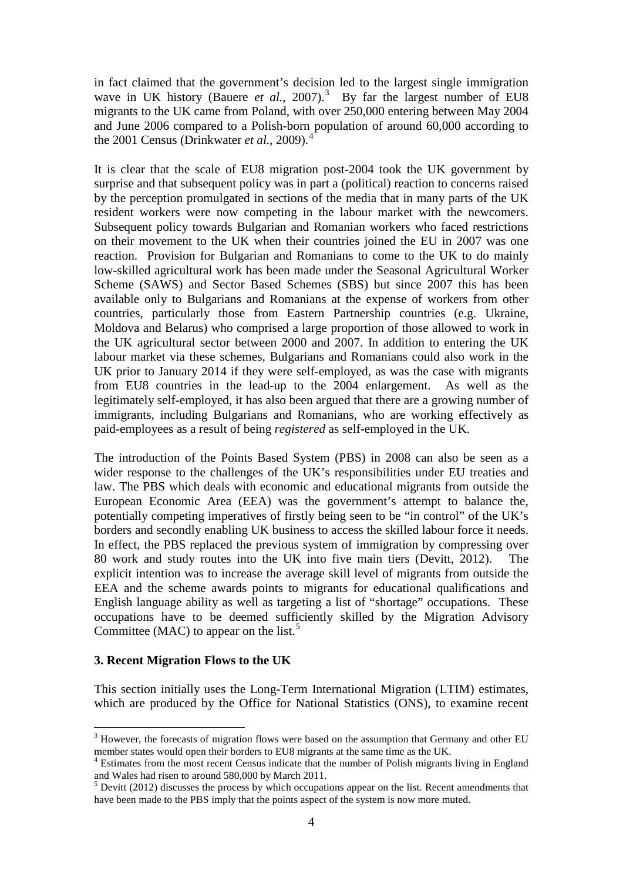in fact claimed that the government's decision led to the largest single immigration wave in UK history (Bauere *et al.*, 2007).<sup>[3](#page-4-1)</sup> By far the largest number of EU8 migrants to the UK came from Poland, with over 250,000 entering between May 2004 and June 2006 compared to a Polish-born population of around 60,000 according to the 2001 Census (Drinkwater *et al.*, 2009).<sup>[4](#page-5-0)</sup>

It is clear that the scale of EU8 migration post-2004 took the UK government by surprise and that subsequent policy was in part a (political) reaction to concerns raised by the perception promulgated in sections of the media that in many parts of the UK resident workers were now competing in the labour market with the newcomers. Subsequent policy towards Bulgarian and Romanian workers who faced restrictions on their movement to the UK when their countries joined the EU in 2007 was one reaction. Provision for Bulgarian and Romanians to come to the UK to do mainly low-skilled agricultural work has been made under the Seasonal Agricultural Worker Scheme (SAWS) and Sector Based Schemes (SBS) but since 2007 this has been available only to Bulgarians and Romanians at the expense of workers from other countries, particularly those from Eastern Partnership countries (e.g. Ukraine, Moldova and Belarus) who comprised a large proportion of those allowed to work in the UK agricultural sector between 2000 and 2007. In addition to entering the UK labour market via these schemes, Bulgarians and Romanians could also work in the UK prior to January 2014 if they were self-employed, as was the case with migrants from EU8 countries in the lead-up to the 2004 enlargement. As well as the legitimately self-employed, it has also been argued that there are a growing number of immigrants, including Bulgarians and Romanians, who are working effectively as paid-employees as a result of being *registered* as self-employed in the UK.

The introduction of the Points Based System (PBS) in 2008 can also be seen as a wider response to the challenges of the UK's responsibilities under EU treaties and law. The PBS which deals with economic and educational migrants from outside the European Economic Area (EEA) was the government's attempt to balance the, potentially competing imperatives of firstly being seen to be "in control" of the UK's borders and secondly enabling UK business to access the skilled labour force it needs. In effect, the PBS replaced the previous system of immigration by compressing over 80 work and study routes into the UK into five main tiers (Devitt, 2012). The explicit intention was to increase the average skill level of migrants from outside the EEA and the scheme awards points to migrants for educational qualifications and English language ability as well as targeting a list of "shortage" occupations. These occupations have to be deemed sufficiently skilled by the Migration Advisory Committee (MAC) to appear on the list.<sup>[5](#page-5-1)</sup>

#### **3. Recent Migration Flows to the UK**

This section initially uses the Long-Term International Migration (LTIM) estimates, which are produced by the Office for National Statistics (ONS), to examine recent

 $3$  However, the forecasts of migration flows were based on the assumption that Germany and other EU member states would open their borders to EU8 migrants at the same time as the UK.

<span id="page-5-2"></span><span id="page-5-0"></span> $4$  Estimates from the most recent Census indicate that the number of Polish migrants living in England and Wales had risen to around 580,000 by March 2011.

<span id="page-5-1"></span> $5$  Devitt (2012) discusses the process by which occupations appear on the list. Recent amendments that have been made to the PBS imply that the points aspect of the system is now more muted.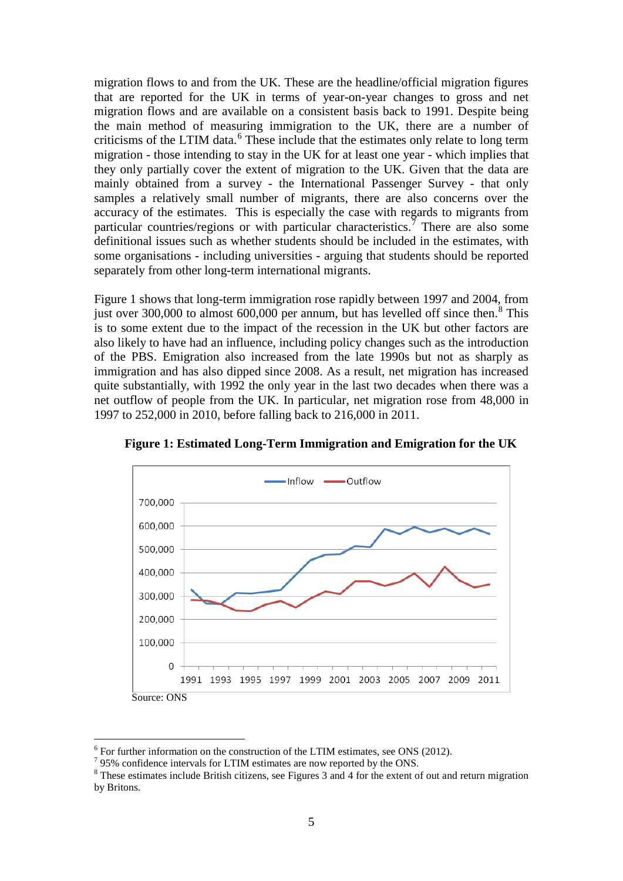migration flows to and from the UK. These are the headline/official migration figures that are reported for the UK in terms of year-on-year changes to gross and net migration flows and are available on a consistent basis back to 1991. Despite being the main method of measuring immigration to the UK, there are a number of criticisms of the LTIM data.<sup>[6](#page-5-2)</sup> These include that the estimates only relate to long term migration - those intending to stay in the UK for at least one year - which implies that they only partially cover the extent of migration to the UK. Given that the data are mainly obtained from a survey - the International Passenger Survey - that only samples a relatively small number of migrants, there are also concerns over the accuracy of the estimates. This is especially the case with regards to migrants from particular countries/regions or with particular characteristics.<sup>[7](#page-6-0)</sup> There are also some definitional issues such as whether students should be included in the estimates, with some organisations - including universities - arguing that students should be reported separately from other long-term international migrants.

Figure 1 shows that long-term immigration rose rapidly between 1997 and 2004, from just over 300,000 to almost  $600,000$  per annum, but has levelled off since then.<sup>[8](#page-6-1)</sup> This is to some extent due to the impact of the recession in the UK but other factors are also likely to have had an influence, including policy changes such as the introduction of the PBS. Emigration also increased from the late 1990s but not as sharply as immigration and has also dipped since 2008. As a result, net migration has increased quite substantially, with 1992 the only year in the last two decades when there was a net outflow of people from the UK. In particular, net migration rose from 48,000 in 1997 to 252,000 in 2010, before falling back to 216,000 in 2011.



**Figure 1: Estimated Long-Term Immigration and Emigration for the UK**

 $\frac{6}{7}$  For further information on the construction of the LTIM estimates, see ONS (2012).<br> $\frac{7}{95\%}$  confidence intervals for LTIM estimates are now reported by the ONS.

<span id="page-6-1"></span><span id="page-6-0"></span> $8$  These estimates include British citizens, see Figures 3 and 4 for the extent of out and return migration by Britons.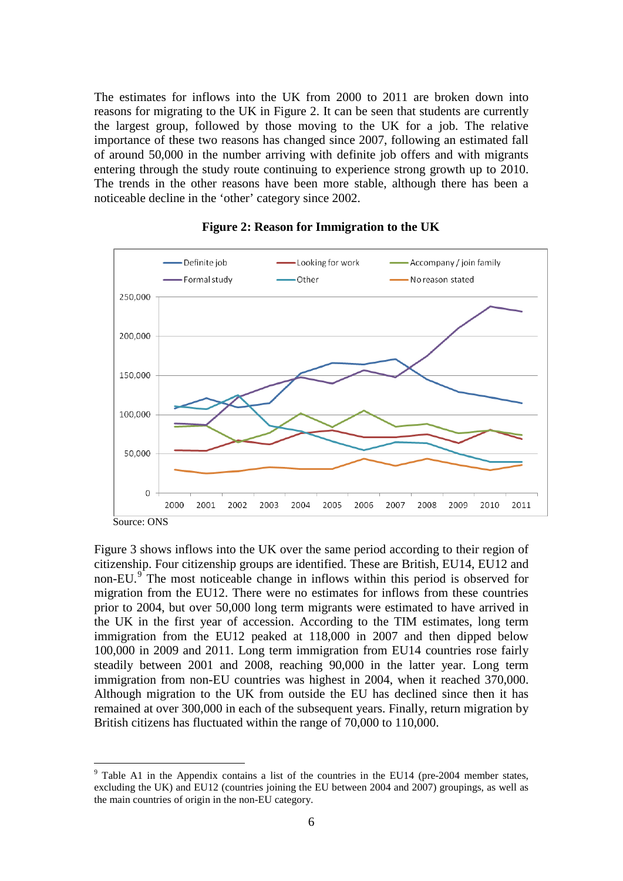The estimates for inflows into the UK from 2000 to 2011 are broken down into reasons for migrating to the UK in Figure 2. It can be seen that students are currently the largest group, followed by those moving to the UK for a job. The relative importance of these two reasons has changed since 2007, following an estimated fall of around 50,000 in the number arriving with definite job offers and with migrants entering through the study route continuing to experience strong growth up to 2010. The trends in the other reasons have been more stable, although there has been a noticeable decline in the 'other' category since 2002.



#### **Figure 2: Reason for Immigration to the UK**

Figure 3 shows inflows into the UK over the same period according to their region of citizenship. Four citizenship groups are identified. These are British, EU14, EU12 and non-EU.<sup>[9](#page-6-1)</sup> The most noticeable change in inflows within this period is observed for migration from the EU12. There were no estimates for inflows from these countries prior to 2004, but over 50,000 long term migrants were estimated to have arrived in the UK in the first year of accession. According to the TIM estimates, long term immigration from the EU12 peaked at 118,000 in 2007 and then dipped below 100,000 in 2009 and 2011. Long term immigration from EU14 countries rose fairly steadily between 2001 and 2008, reaching 90,000 in the latter year. Long term immigration from non-EU countries was highest in 2004, when it reached 370,000. Although migration to the UK from outside the EU has declined since then it has remained at over 300,000 in each of the subsequent years. Finally, return migration by British citizens has fluctuated within the range of 70,000 to 110,000.

<span id="page-7-0"></span> <sup>9</sup> Table A1 in the Appendix contains a list of the countries in the EU14 (pre-2004 member states, excluding the UK) and EU12 (countries joining the EU between 2004 and 2007) groupings, as well as the main countries of origin in the non-EU category.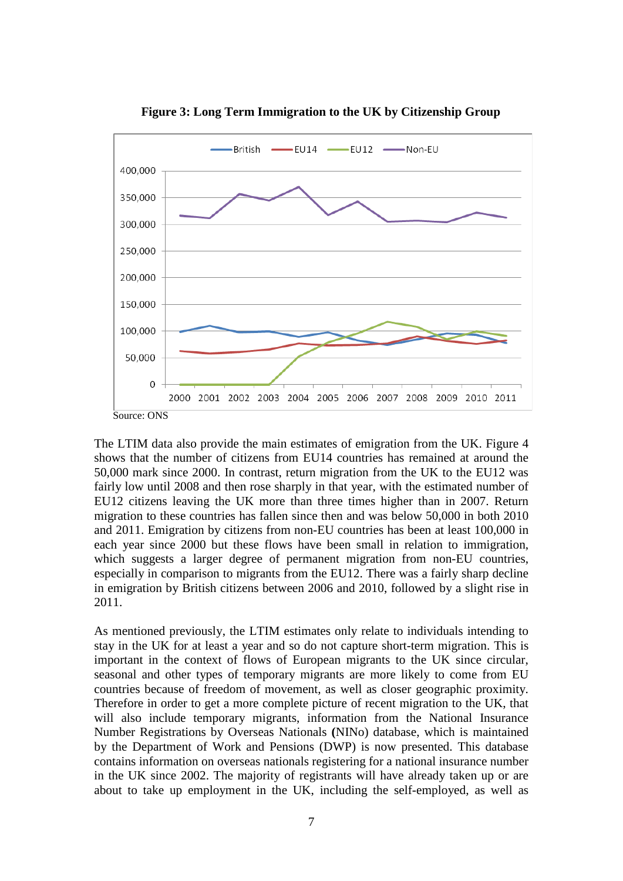

**Figure 3: Long Term Immigration to the UK by Citizenship Group**

The LTIM data also provide the main estimates of emigration from the UK. Figure 4 shows that the number of citizens from EU14 countries has remained at around the 50,000 mark since 2000. In contrast, return migration from the UK to the EU12 was fairly low until 2008 and then rose sharply in that year, with the estimated number of EU12 citizens leaving the UK more than three times higher than in 2007. Return migration to these countries has fallen since then and was below 50,000 in both 2010 and 2011. Emigration by citizens from non-EU countries has been at least 100,000 in each year since 2000 but these flows have been small in relation to immigration, which suggests a larger degree of permanent migration from non-EU countries, especially in comparison to migrants from the EU12. There was a fairly sharp decline in emigration by British citizens between 2006 and 2010, followed by a slight rise in 2011.

As mentioned previously, the LTIM estimates only relate to individuals intending to stay in the UK for at least a year and so do not capture short-term migration. This is important in the context of flows of European migrants to the UK since circular, seasonal and other types of temporary migrants are more likely to come from EU countries because of freedom of movement, as well as closer geographic proximity. Therefore in order to get a more complete picture of recent migration to the UK, that will also include temporary migrants, information from the National Insurance Number Registrations by Overseas Nationals **(**NINo) database, which is maintained by the Department of Work and Pensions (DWP) is now presented. This database contains information on overseas nationals registering for a national insurance number in the UK since 2002. The majority of registrants will have already taken up or are about to take up employment in the UK, including the self-employed, as well as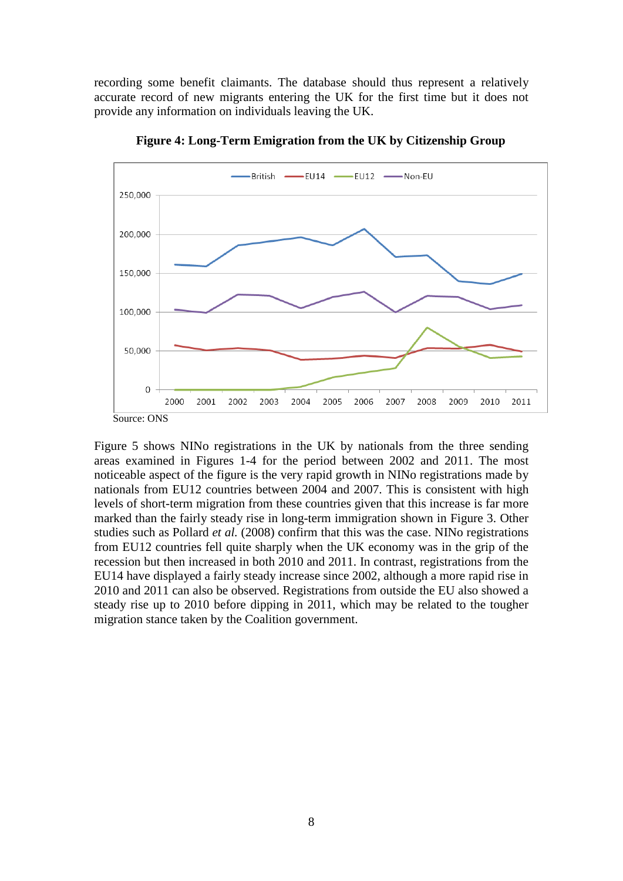recording some benefit claimants. The database should thus represent a relatively accurate record of new migrants entering the UK for the first time but it does not provide any information on individuals leaving the UK.



**Figure 4: Long-Term Emigration from the UK by Citizenship Group**

Figure 5 shows NINo registrations in the UK by nationals from the three sending areas examined in Figures 1-4 for the period between 2002 and 2011. The most noticeable aspect of the figure is the very rapid growth in NINo registrations made by nationals from EU12 countries between 2004 and 2007. This is consistent with high levels of short-term migration from these countries given that this increase is far more marked than the fairly steady rise in long-term immigration shown in Figure 3. Other studies such as Pollard *et al.* (2008) confirm that this was the case. NINo registrations from EU12 countries fell quite sharply when the UK economy was in the grip of the recession but then increased in both 2010 and 2011. In contrast, registrations from the EU14 have displayed a fairly steady increase since 2002, although a more rapid rise in 2010 and 2011 can also be observed. Registrations from outside the EU also showed a steady rise up to 2010 before dipping in 2011, which may be related to the tougher migration stance taken by the Coalition government.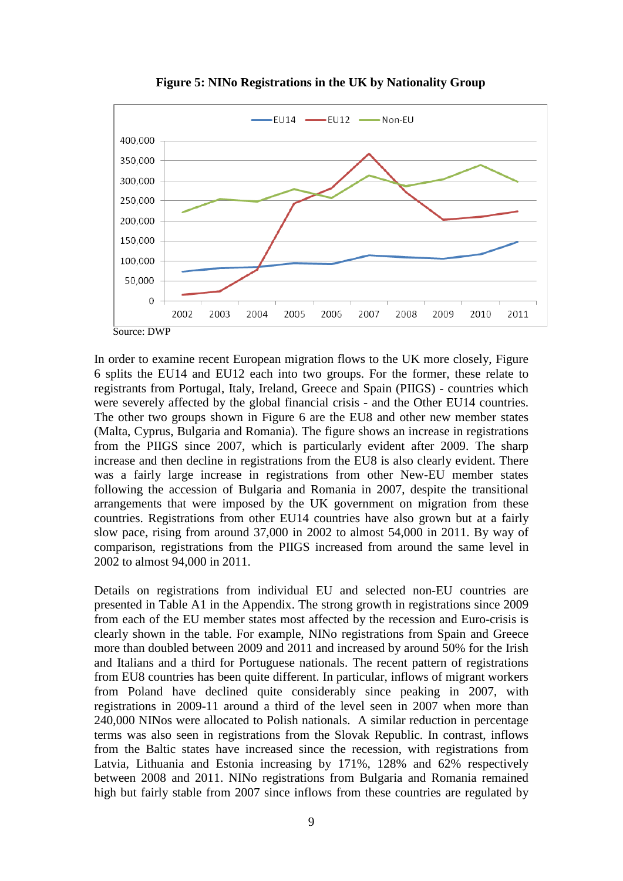

**Figure 5: NINo Registrations in the UK by Nationality Group**

In order to examine recent European migration flows to the UK more closely, Figure 6 splits the EU14 and EU12 each into two groups. For the former, these relate to registrants from Portugal, Italy, Ireland, Greece and Spain (PIIGS) - countries which were severely affected by the global financial crisis - and the Other EU14 countries. The other two groups shown in Figure 6 are the EU8 and other new member states (Malta, Cyprus, Bulgaria and Romania). The figure shows an increase in registrations from the PIIGS since 2007, which is particularly evident after 2009. The sharp increase and then decline in registrations from the EU8 is also clearly evident. There was a fairly large increase in registrations from other New-EU member states following the accession of Bulgaria and Romania in 2007, despite the transitional arrangements that were imposed by the UK government on migration from these countries. Registrations from other EU14 countries have also grown but at a fairly slow pace, rising from around 37,000 in 2002 to almost 54,000 in 2011. By way of comparison, registrations from the PIIGS increased from around the same level in 2002 to almost 94,000 in 2011.

Details on registrations from individual EU and selected non-EU countries are presented in Table A1 in the Appendix. The strong growth in registrations since 2009 from each of the EU member states most affected by the recession and Euro-crisis is clearly shown in the table. For example, NINo registrations from Spain and Greece more than doubled between 2009 and 2011 and increased by around 50% for the Irish and Italians and a third for Portuguese nationals. The recent pattern of registrations from EU8 countries has been quite different. In particular, inflows of migrant workers from Poland have declined quite considerably since peaking in 2007, with registrations in 2009-11 around a third of the level seen in 2007 when more than 240,000 NINos were allocated to Polish nationals. A similar reduction in percentage terms was also seen in registrations from the Slovak Republic. In contrast, inflows from the Baltic states have increased since the recession, with registrations from Latvia, Lithuania and Estonia increasing by 171%, 128% and 62% respectively between 2008 and 2011. NINo registrations from Bulgaria and Romania remained high but fairly stable from 2007 since inflows from these countries are regulated by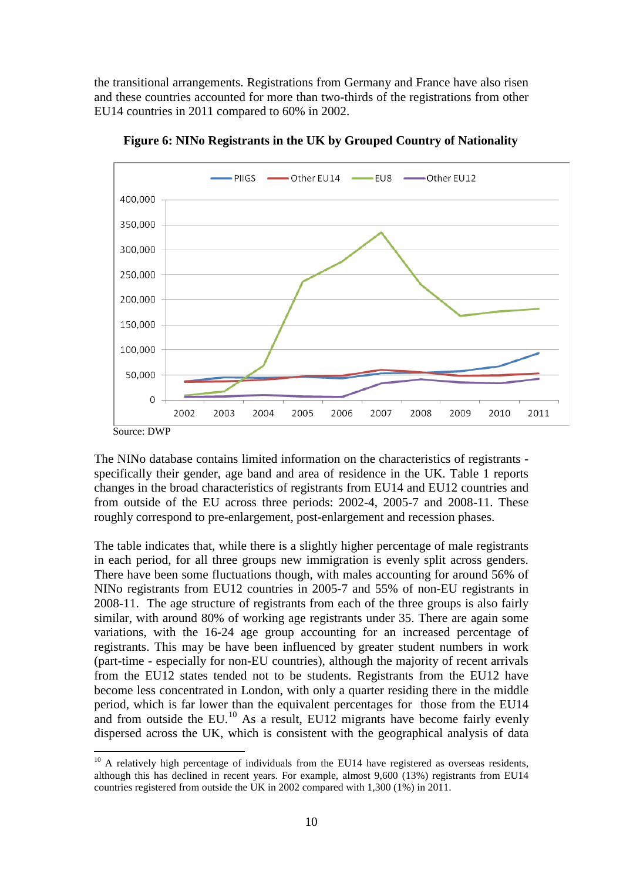the transitional arrangements. Registrations from Germany and France have also risen and these countries accounted for more than two-thirds of the registrations from other EU14 countries in 2011 compared to 60% in 2002.



**Figure 6: NINo Registrants in the UK by Grouped Country of Nationality**

The NINo database contains limited information on the characteristics of registrants specifically their gender, age band and area of residence in the UK. Table 1 reports changes in the broad characteristics of registrants from EU14 and EU12 countries and from outside of the EU across three periods: 2002-4, 2005-7 and 2008-11. These roughly correspond to pre-enlargement, post-enlargement and recession phases.

The table indicates that, while there is a slightly higher percentage of male registrants in each period, for all three groups new immigration is evenly split across genders. There have been some fluctuations though, with males accounting for around 56% of NINo registrants from EU12 countries in 2005-7 and 55% of non-EU registrants in 2008-11. The age structure of registrants from each of the three groups is also fairly similar, with around 80% of working age registrants under 35. There are again some variations, with the 16-24 age group accounting for an increased percentage of registrants. This may be have been influenced by greater student numbers in work (part-time - especially for non-EU countries), although the majority of recent arrivals from the EU12 states tended not to be students. Registrants from the EU12 have become less concentrated in London, with only a quarter residing there in the middle period, which is far lower than the equivalent percentages for those from the EU14 and from outside the EU.<sup>[10](#page-7-0)</sup> As a result, EU12 migrants have become fairly evenly dispersed across the UK, which is consistent with the geographical analysis of data

<span id="page-11-0"></span> $10$  A relatively high percentage of individuals from the EU14 have registered as overseas residents, although this has declined in recent years. For example, almost 9,600 (13%) registrants from EU14 countries registered from outside the UK in 2002 compared with 1,300 (1%) in 2011.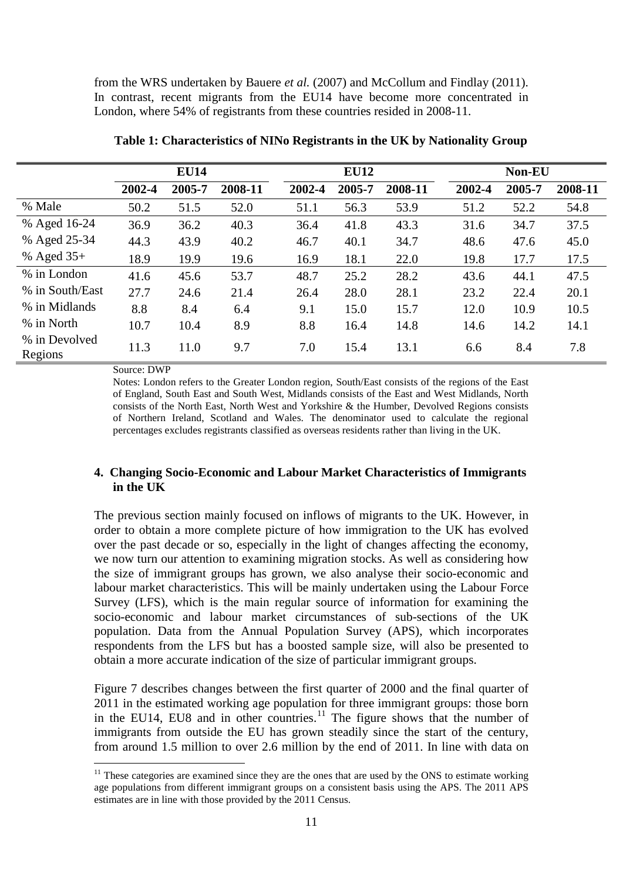from the WRS undertaken by Bauere *et al.* (2007) and McCollum and Findlay (2011). In contrast, recent migrants from the EU14 have become more concentrated in London, where 54% of registrants from these countries resided in 2008-11.

|                          | <b>EU14</b> |        |         |        | <b>EU12</b> |         |        | Non-EU |         |  |  |
|--------------------------|-------------|--------|---------|--------|-------------|---------|--------|--------|---------|--|--|
|                          | 2002-4      | 2005-7 | 2008-11 | 2002-4 | 2005-7      | 2008-11 | 2002-4 | 2005-7 | 2008-11 |  |  |
| % Male                   | 50.2        | 51.5   | 52.0    | 51.1   | 56.3        | 53.9    | 51.2   | 52.2   | 54.8    |  |  |
| % Aged 16-24             | 36.9        | 36.2   | 40.3    | 36.4   | 41.8        | 43.3    | 31.6   | 34.7   | 37.5    |  |  |
| % Aged 25-34             | 44.3        | 43.9   | 40.2    | 46.7   | 40.1        | 34.7    | 48.6   | 47.6   | 45.0    |  |  |
| % Aged $35+$             | 18.9        | 19.9   | 19.6    | 16.9   | 18.1        | 22.0    | 19.8   | 17.7   | 17.5    |  |  |
| % in London              | 41.6        | 45.6   | 53.7    | 48.7   | 25.2        | 28.2    | 43.6   | 44.1   | 47.5    |  |  |
| % in South/East          | 27.7        | 24.6   | 21.4    | 26.4   | 28.0        | 28.1    | 23.2   | 22.4   | 20.1    |  |  |
| % in Midlands            | 8.8         | 8.4    | 6.4     | 9.1    | 15.0        | 15.7    | 12.0   | 10.9   | 10.5    |  |  |
| % in North               | 10.7        | 10.4   | 8.9     | 8.8    | 16.4        | 14.8    | 14.6   | 14.2   | 14.1    |  |  |
| % in Devolved<br>Regions | 11.3        | 11.0   | 9.7     | 7.0    | 15.4        | 13.1    | 6.6    | 8.4    | 7.8     |  |  |

**Table 1: Characteristics of NINo Registrants in the UK by Nationality Group**

Source: DWP

Notes: London refers to the Greater London region, South/East consists of the regions of the East of England, South East and South West, Midlands consists of the East and West Midlands, North consists of the North East, North West and Yorkshire & the Humber, Devolved Regions consists of Northern Ireland, Scotland and Wales. The denominator used to calculate the regional percentages excludes registrants classified as overseas residents rather than living in the UK.

#### **4. Changing Socio-Economic and Labour Market Characteristics of Immigrants in the UK**

The previous section mainly focused on inflows of migrants to the UK. However, in order to obtain a more complete picture of how immigration to the UK has evolved over the past decade or so, especially in the light of changes affecting the economy, we now turn our attention to examining migration stocks. As well as considering how the size of immigrant groups has grown, we also analyse their socio-economic and labour market characteristics. This will be mainly undertaken using the Labour Force Survey (LFS), which is the main regular source of information for examining the socio-economic and labour market circumstances of sub-sections of the UK population. Data from the Annual Population Survey (APS), which incorporates respondents from the LFS but has a boosted sample size, will also be presented to obtain a more accurate indication of the size of particular immigrant groups.

Figure 7 describes changes between the first quarter of 2000 and the final quarter of 2011 in the estimated working age population for three immigrant groups: those born in the EU14, EU8 and in other countries.<sup>[11](#page-11-0)</sup> The figure shows that the number of immigrants from outside the EU has grown steadily since the start of the century, from around 1.5 million to over 2.6 million by the end of 2011. In line with data on

<span id="page-12-0"></span> $11$  These categories are examined since they are the ones that are used by the ONS to estimate working age populations from different immigrant groups on a consistent basis using the APS. The 2011 APS estimates are in line with those provided by the 2011 Census.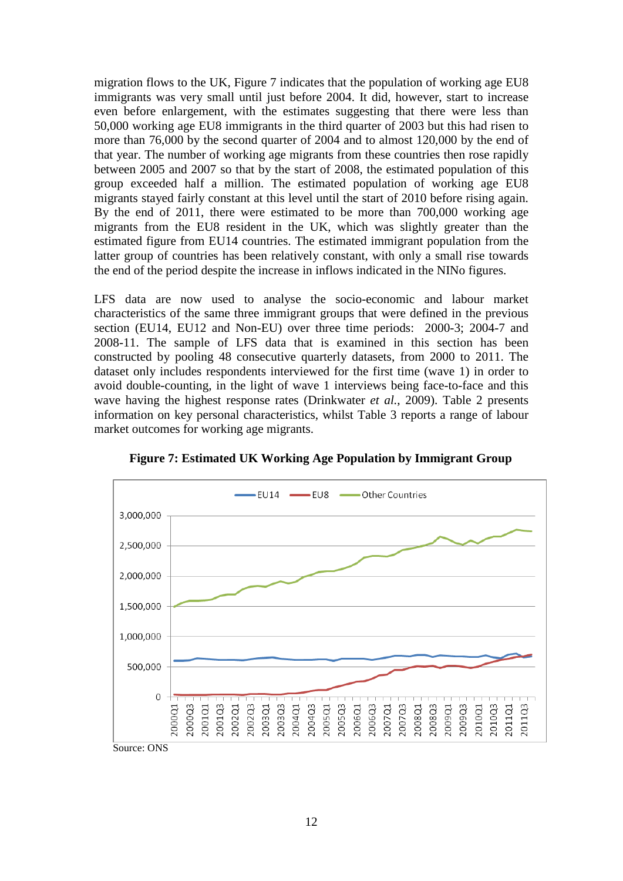migration flows to the UK, Figure 7 indicates that the population of working age EU8 immigrants was very small until just before 2004. It did, however, start to increase even before enlargement, with the estimates suggesting that there were less than 50,000 working age EU8 immigrants in the third quarter of 2003 but this had risen to more than 76,000 by the second quarter of 2004 and to almost 120,000 by the end of that year. The number of working age migrants from these countries then rose rapidly between 2005 and 2007 so that by the start of 2008, the estimated population of this group exceeded half a million. The estimated population of working age EU8 migrants stayed fairly constant at this level until the start of 2010 before rising again. By the end of 2011, there were estimated to be more than 700,000 working age migrants from the EU8 resident in the UK, which was slightly greater than the estimated figure from EU14 countries. The estimated immigrant population from the latter group of countries has been relatively constant, with only a small rise towards the end of the period despite the increase in inflows indicated in the NINo figures.

LFS data are now used to analyse the socio-economic and labour market characteristics of the same three immigrant groups that were defined in the previous section (EU14, EU12 and Non-EU) over three time periods: 2000-3; 2004-7 and 2008-11. The sample of LFS data that is examined in this section has been constructed by pooling 48 consecutive quarterly datasets, from 2000 to 2011. The dataset only includes respondents interviewed for the first time (wave 1) in order to avoid double-counting, in the light of wave 1 interviews being face-to-face and this wave having the highest response rates (Drinkwater *et al.*, 2009). Table 2 presents information on key personal characteristics, whilst Table 3 reports a range of labour market outcomes for working age migrants.



**Figure 7: Estimated UK Working Age Population by Immigrant Group**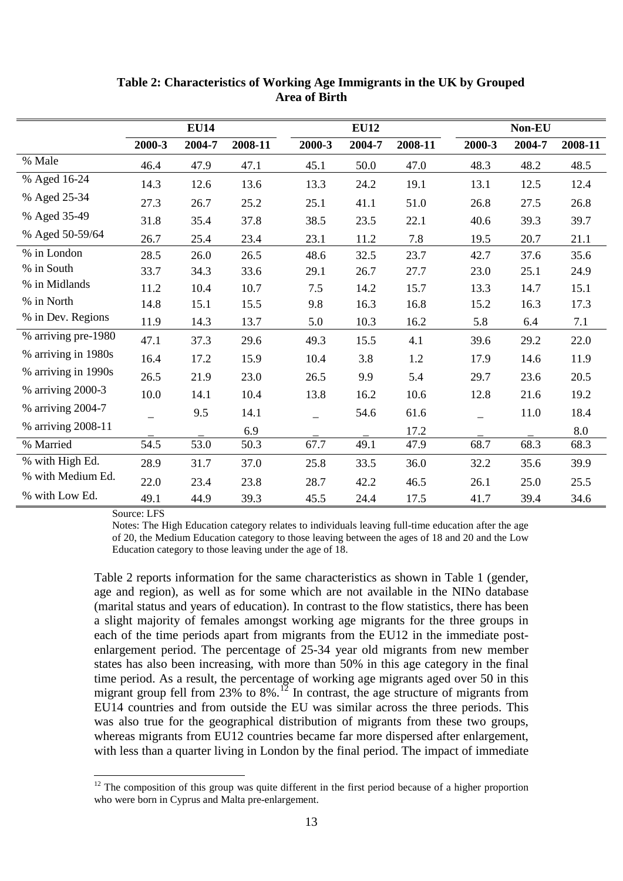|                     | <b>EU14</b> |        |         | <b>EU12</b> |        |         | Non-EU |        |         |  |
|---------------------|-------------|--------|---------|-------------|--------|---------|--------|--------|---------|--|
|                     | 2000-3      | 2004-7 | 2008-11 | 2000-3      | 2004-7 | 2008-11 | 2000-3 | 2004-7 | 2008-11 |  |
| % Male              | 46.4        | 47.9   | 47.1    | 45.1        | 50.0   | 47.0    | 48.3   | 48.2   | 48.5    |  |
| % Aged 16-24        | 14.3        | 12.6   | 13.6    | 13.3        | 24.2   | 19.1    | 13.1   | 12.5   | 12.4    |  |
| % Aged 25-34        | 27.3        | 26.7   | 25.2    | 25.1        | 41.1   | 51.0    | 26.8   | 27.5   | 26.8    |  |
| % Aged 35-49        | 31.8        | 35.4   | 37.8    | 38.5        | 23.5   | 22.1    | 40.6   | 39.3   | 39.7    |  |
| % Aged 50-59/64     | 26.7        | 25.4   | 23.4    | 23.1        | 11.2   | 7.8     | 19.5   | 20.7   | 21.1    |  |
| % in London         | 28.5        | 26.0   | 26.5    | 48.6        | 32.5   | 23.7    | 42.7   | 37.6   | 35.6    |  |
| % in South          | 33.7        | 34.3   | 33.6    | 29.1        | 26.7   | 27.7    | 23.0   | 25.1   | 24.9    |  |
| % in Midlands       | 11.2        | 10.4   | 10.7    | 7.5         | 14.2   | 15.7    | 13.3   | 14.7   | 15.1    |  |
| % in North          | 14.8        | 15.1   | 15.5    | 9.8         | 16.3   | 16.8    | 15.2   | 16.3   | 17.3    |  |
| % in Dev. Regions   | 11.9        | 14.3   | 13.7    | 5.0         | 10.3   | 16.2    | 5.8    | 6.4    | 7.1     |  |
| % arriving pre-1980 | 47.1        | 37.3   | 29.6    | 49.3        | 15.5   | 4.1     | 39.6   | 29.2   | 22.0    |  |
| % arriving in 1980s | 16.4        | 17.2   | 15.9    | 10.4        | 3.8    | 1.2     | 17.9   | 14.6   | 11.9    |  |
| % arriving in 1990s | 26.5        | 21.9   | 23.0    | 26.5        | 9.9    | 5.4     | 29.7   | 23.6   | 20.5    |  |
| % arriving 2000-3   | 10.0        | 14.1   | 10.4    | 13.8        | 16.2   | 10.6    | 12.8   | 21.6   | 19.2    |  |
| % arriving 2004-7   |             | 9.5    | 14.1    |             | 54.6   | 61.6    |        | 11.0   | 18.4    |  |
| % arriving 2008-11  |             |        | 6.9     |             |        | 17.2    |        |        | 8.0     |  |
| % Married           | 54.5        | 53.0   | 50.3    | 67.7        | 49.1   | 47.9    | 68.7   | 68.3   | 68.3    |  |
| % with High Ed.     | 28.9        | 31.7   | 37.0    | 25.8        | 33.5   | 36.0    | 32.2   | 35.6   | 39.9    |  |
| % with Medium Ed.   | 22.0        | 23.4   | 23.8    | 28.7        | 42.2   | 46.5    | 26.1   | 25.0   | 25.5    |  |
| % with Low Ed.      | 49.1        | 44.9   | 39.3    | 45.5        | 24.4   | 17.5    | 41.7   | 39.4   | 34.6    |  |

**Table 2: Characteristics of Working Age Immigrants in the UK by Grouped Area of Birth**

Source: LFS

Notes: The High Education category relates to individuals leaving full-time education after the age of 20, the Medium Education category to those leaving between the ages of 18 and 20 and the Low Education category to those leaving under the age of 18.

Table 2 reports information for the same characteristics as shown in Table 1 (gender, age and region), as well as for some which are not available in the NINo database (marital status and years of education). In contrast to the flow statistics, there has been a slight majority of females amongst working age migrants for the three groups in each of the time periods apart from migrants from the EU12 in the immediate postenlargement period. The percentage of 25-34 year old migrants from new member states has also been increasing, with more than 50% in this age category in the final time period. As a result, the percentage of working age migrants aged over 50 in this migrant group fell from  $23\%$  to  $8\%$ .<sup>[12](#page-12-0)</sup> In contrast, the age structure of migrants from EU14 countries and from outside the EU was similar across the three periods. This was also true for the geographical distribution of migrants from these two groups, whereas migrants from EU12 countries became far more dispersed after enlargement, with less than a quarter living in London by the final period. The impact of immediate

<span id="page-14-0"></span> $12$  The composition of this group was quite different in the first period because of a higher proportion who were born in Cyprus and Malta pre-enlargement.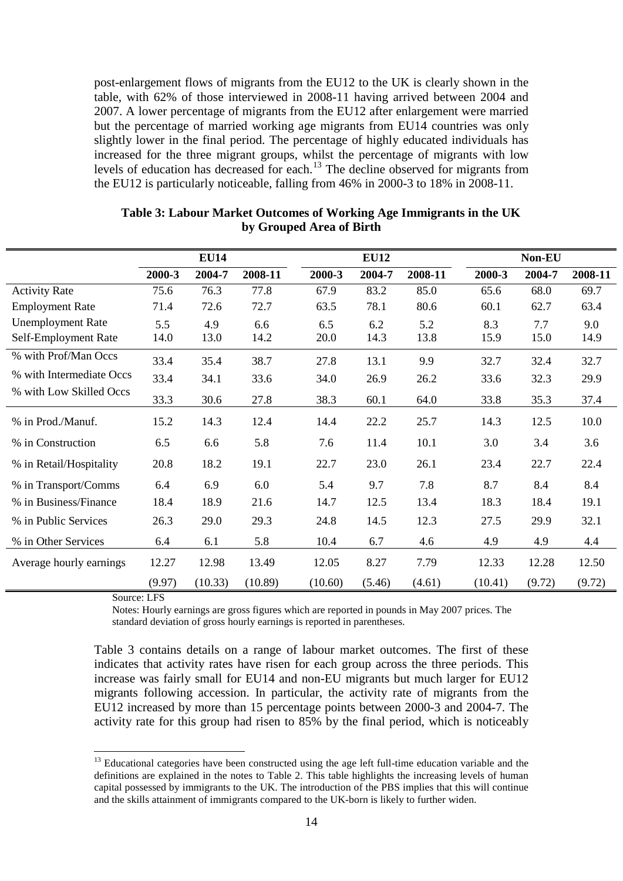post-enlargement flows of migrants from the EU12 to the UK is clearly shown in the table, with 62% of those interviewed in 2008-11 having arrived between 2004 and 2007. A lower percentage of migrants from the EU12 after enlargement were married but the percentage of married working age migrants from EU14 countries was only slightly lower in the final period. The percentage of highly educated individuals has increased for the three migrant groups, whilst the percentage of migrants with low levels of education has decreased for each.[13](#page-14-0) The decline observed for migrants from the EU12 is particularly noticeable, falling from 46% in 2000-3 to 18% in 2008-11.

|                          |        | <b>EU14</b> |         |         | <b>EU12</b> |         |         | Non-EU |         |
|--------------------------|--------|-------------|---------|---------|-------------|---------|---------|--------|---------|
|                          | 2000-3 | 2004-7      | 2008-11 | 2000-3  | 2004-7      | 2008-11 | 2000-3  | 2004-7 | 2008-11 |
| <b>Activity Rate</b>     | 75.6   | 76.3        | 77.8    | 67.9    | 83.2        | 85.0    | 65.6    | 68.0   | 69.7    |
| <b>Employment Rate</b>   | 71.4   | 72.6        | 72.7    | 63.5    | 78.1        | 80.6    | 60.1    | 62.7   | 63.4    |
| <b>Unemployment Rate</b> | 5.5    | 4.9         | 6.6     | 6.5     | 6.2         | 5.2     | 8.3     | 7.7    | 9.0     |
| Self-Employment Rate     | 14.0   | 13.0        | 14.2    | 20.0    | 14.3        | 13.8    | 15.9    | 15.0   | 14.9    |
| % with Prof/Man Occs     | 33.4   | 35.4        | 38.7    | 27.8    | 13.1        | 9.9     | 32.7    | 32.4   | 32.7    |
| % with Intermediate Occs | 33.4   | 34.1        | 33.6    | 34.0    | 26.9        | 26.2    | 33.6    | 32.3   | 29.9    |
| % with Low Skilled Occs  | 33.3   | 30.6        | 27.8    | 38.3    | 60.1        | 64.0    | 33.8    | 35.3   | 37.4    |
| % in Prod./Manuf.        | 15.2   | 14.3        | 12.4    | 14.4    | 22.2        | 25.7    | 14.3    | 12.5   | 10.0    |
| % in Construction        | 6.5    | 6.6         | 5.8     | 7.6     | 11.4        | 10.1    | 3.0     | 3.4    | 3.6     |
| % in Retail/Hospitality  | 20.8   | 18.2        | 19.1    | 22.7    | 23.0        | 26.1    | 23.4    | 22.7   | 22.4    |
| % in Transport/Comms     | 6.4    | 6.9         | 6.0     | 5.4     | 9.7         | 7.8     | 8.7     | 8.4    | 8.4     |
| % in Business/Finance    | 18.4   | 18.9        | 21.6    | 14.7    | 12.5        | 13.4    | 18.3    | 18.4   | 19.1    |
| % in Public Services     | 26.3   | 29.0        | 29.3    | 24.8    | 14.5        | 12.3    | 27.5    | 29.9   | 32.1    |
| % in Other Services      | 6.4    | 6.1         | 5.8     | 10.4    | 6.7         | 4.6     | 4.9     | 4.9    | 4.4     |
| Average hourly earnings  | 12.27  | 12.98       | 13.49   | 12.05   | 8.27        | 7.79    | 12.33   | 12.28  | 12.50   |
|                          | (9.97) | (10.33)     | (10.89) | (10.60) | (5.46)      | (4.61)  | (10.41) | (9.72) | (9.72)  |

**Table 3: Labour Market Outcomes of Working Age Immigrants in the UK by Grouped Area of Birth**

Source: LFS

Notes: Hourly earnings are gross figures which are reported in pounds in May 2007 prices. The standard deviation of gross hourly earnings is reported in parentheses.

Table 3 contains details on a range of labour market outcomes. The first of these indicates that activity rates have risen for each group across the three periods. This increase was fairly small for EU14 and non-EU migrants but much larger for EU12 migrants following accession. In particular, the activity rate of migrants from the EU12 increased by more than 15 percentage points between 2000-3 and 2004-7. The activity rate for this group had risen to 85% by the final period, which is noticeably

<span id="page-15-0"></span><sup>&</sup>lt;sup>13</sup> Educational categories have been constructed using the age left full-time education variable and the definitions are explained in the notes to Table 2. This table highlights the increasing levels of human capital possessed by immigrants to the UK. The introduction of the PBS implies that this will continue and the skills attainment of immigrants compared to the UK-born is likely to further widen.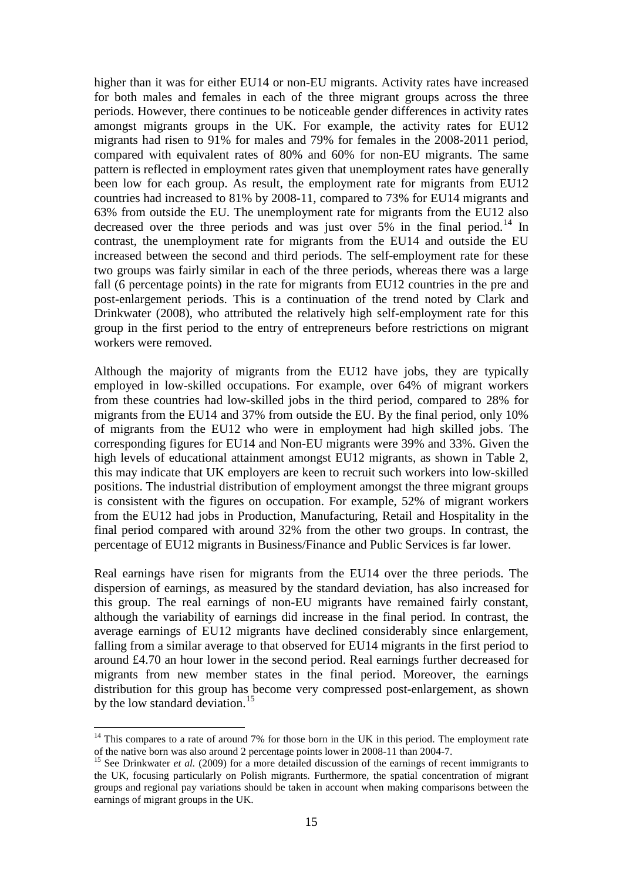higher than it was for either EU14 or non-EU migrants. Activity rates have increased for both males and females in each of the three migrant groups across the three periods. However, there continues to be noticeable gender differences in activity rates amongst migrants groups in the UK. For example, the activity rates for EU12 migrants had risen to 91% for males and 79% for females in the 2008-2011 period, compared with equivalent rates of 80% and 60% for non-EU migrants. The same pattern is reflected in employment rates given that unemployment rates have generally been low for each group. As result, the employment rate for migrants from EU12 countries had increased to 81% by 2008-11, compared to 73% for EU14 migrants and 63% from outside the EU. The unemployment rate for migrants from the EU12 also decreased over the three periods and was just over  $5\%$  in the final period.<sup>[14](#page-15-0)</sup> In contrast, the unemployment rate for migrants from the EU14 and outside the EU increased between the second and third periods. The self-employment rate for these two groups was fairly similar in each of the three periods, whereas there was a large fall (6 percentage points) in the rate for migrants from EU12 countries in the pre and post-enlargement periods. This is a continuation of the trend noted by Clark and Drinkwater (2008), who attributed the relatively high self-employment rate for this group in the first period to the entry of entrepreneurs before restrictions on migrant workers were removed.

Although the majority of migrants from the EU12 have jobs, they are typically employed in low-skilled occupations. For example, over 64% of migrant workers from these countries had low-skilled jobs in the third period, compared to 28% for migrants from the EU14 and 37% from outside the EU. By the final period, only 10% of migrants from the EU12 who were in employment had high skilled jobs. The corresponding figures for EU14 and Non-EU migrants were 39% and 33%. Given the high levels of educational attainment amongst EU12 migrants, as shown in Table 2, this may indicate that UK employers are keen to recruit such workers into low-skilled positions. The industrial distribution of employment amongst the three migrant groups is consistent with the figures on occupation. For example, 52% of migrant workers from the EU12 had jobs in Production, Manufacturing, Retail and Hospitality in the final period compared with around 32% from the other two groups. In contrast, the percentage of EU12 migrants in Business/Finance and Public Services is far lower.

Real earnings have risen for migrants from the EU14 over the three periods. The dispersion of earnings, as measured by the standard deviation, has also increased for this group. The real earnings of non-EU migrants have remained fairly constant, although the variability of earnings did increase in the final period. In contrast, the average earnings of EU12 migrants have declined considerably since enlargement, falling from a similar average to that observed for EU14 migrants in the first period to around £4.70 an hour lower in the second period. Real earnings further decreased for migrants from new member states in the final period. Moreover, the earnings distribution for this group has become very compressed post-enlargement, as shown by the low standard deviation.<sup>15</sup>

<sup>&</sup>lt;sup>14</sup> This compares to a rate of around 7% for those born in the UK in this period. The employment rate of the native born was also around 2 percentage points lower in 2008-11 than 2004-7.

<span id="page-16-0"></span><sup>&</sup>lt;sup>15</sup> See Drinkwater *et al.* (2009) for a more detailed discussion of the earnings of recent immigrants to the UK, focusing particularly on Polish migrants. Furthermore, the spatial concentration of migrant groups and regional pay variations should be taken in account when making comparisons between the earnings of migrant groups in the UK.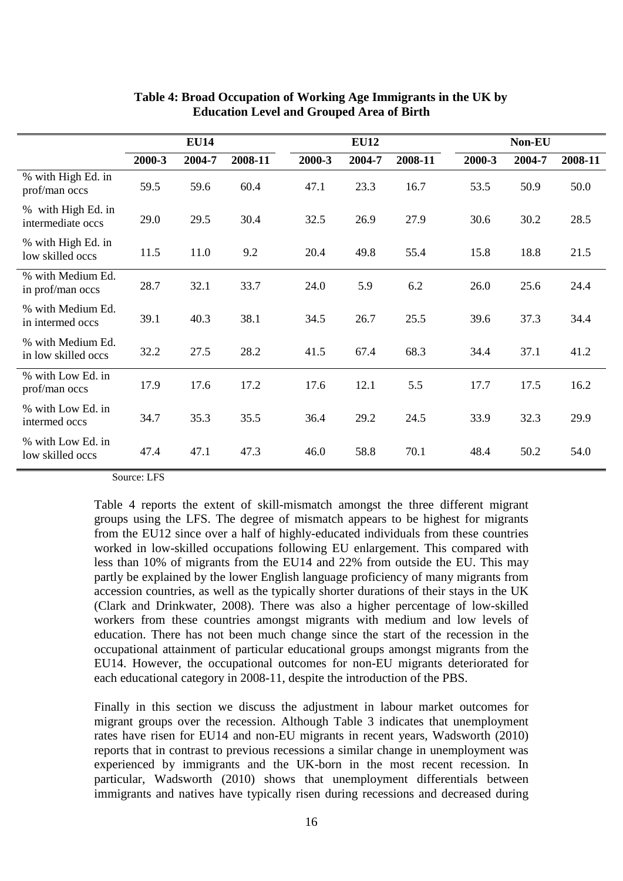|                                          | <b>EU14</b> |        |         |        | <b>EU12</b> |         | Non-EU |        |         |  |
|------------------------------------------|-------------|--------|---------|--------|-------------|---------|--------|--------|---------|--|
|                                          | 2000-3      | 2004-7 | 2008-11 | 2000-3 | 2004-7      | 2008-11 | 2000-3 | 2004-7 | 2008-11 |  |
| % with High Ed. in<br>prof/man occs      | 59.5        | 59.6   | 60.4    | 47.1   | 23.3        | 16.7    | 53.5   | 50.9   | 50.0    |  |
| % with High Ed. in<br>intermediate occs  | 29.0        | 29.5   | 30.4    | 32.5   | 26.9        | 27.9    | 30.6   | 30.2   | 28.5    |  |
| % with High Ed. in<br>low skilled occs   | 11.5        | 11.0   | 9.2     | 20.4   | 49.8        | 55.4    | 15.8   | 18.8   | 21.5    |  |
| % with Medium Ed.<br>in prof/man occs    | 28.7        | 32.1   | 33.7    | 24.0   | 5.9         | 6.2     | 26.0   | 25.6   | 24.4    |  |
| % with Medium Ed.<br>in intermed occs    | 39.1        | 40.3   | 38.1    | 34.5   | 26.7        | 25.5    | 39.6   | 37.3   | 34.4    |  |
| % with Medium Ed.<br>in low skilled occs | 32.2        | 27.5   | 28.2    | 41.5   | 67.4        | 68.3    | 34.4   | 37.1   | 41.2    |  |
| % with Low Ed. in<br>prof/man occs       | 17.9        | 17.6   | 17.2    | 17.6   | 12.1        | 5.5     | 17.7   | 17.5   | 16.2    |  |
| % with Low Ed. in<br>intermed occs       | 34.7        | 35.3   | 35.5    | 36.4   | 29.2        | 24.5    | 33.9   | 32.3   | 29.9    |  |
| % with Low Ed. in<br>low skilled occs    | 47.4        | 47.1   | 47.3    | 46.0   | 58.8        | 70.1    | 48.4   | 50.2   | 54.0    |  |

#### **Table 4: Broad Occupation of Working Age Immigrants in the UK by Education Level and Grouped Area of Birth**

Source: LFS

Table 4 reports the extent of skill-mismatch amongst the three different migrant groups using the LFS. The degree of mismatch appears to be highest for migrants from the EU12 since over a half of highly-educated individuals from these countries worked in low-skilled occupations following EU enlargement. This compared with less than 10% of migrants from the EU14 and 22% from outside the EU. This may partly be explained by the lower English language proficiency of many migrants from accession countries, as well as the typically shorter durations of their stays in the UK (Clark and Drinkwater, 2008). There was also a higher percentage of low-skilled workers from these countries amongst migrants with medium and low levels of education. There has not been much change since the start of the recession in the occupational attainment of particular educational groups amongst migrants from the EU14. However, the occupational outcomes for non-EU migrants deteriorated for each educational category in 2008-11, despite the introduction of the PBS.

Finally in this section we discuss the adjustment in labour market outcomes for migrant groups over the recession. Although Table 3 indicates that unemployment rates have risen for EU14 and non-EU migrants in recent years, Wadsworth (2010) reports that in contrast to previous recessions a similar change in unemployment was experienced by immigrants and the UK-born in the most recent recession. In particular, Wadsworth (2010) shows that unemployment differentials between immigrants and natives have typically risen during recessions and decreased during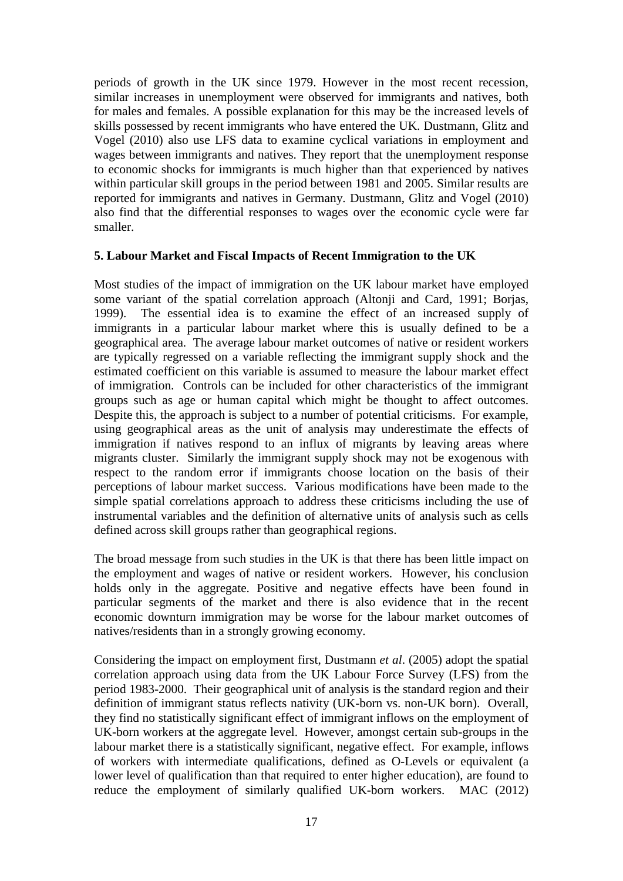periods of growth in the UK since 1979. However in the most recent recession, similar increases in unemployment were observed for immigrants and natives, both for males and females. A possible explanation for this may be the increased levels of skills possessed by recent immigrants who have entered the UK. Dustmann, Glitz and Vogel (2010) also use LFS data to examine cyclical variations in employment and wages between immigrants and natives. They report that the unemployment response to economic shocks for immigrants is much higher than that experienced by natives within particular skill groups in the period between 1981 and 2005. Similar results are reported for immigrants and natives in Germany. Dustmann, Glitz and Vogel (2010) also find that the differential responses to wages over the economic cycle were far smaller.

#### **5. Labour Market and Fiscal Impacts of Recent Immigration to the UK**

Most studies of the impact of immigration on the UK labour market have employed some variant of the spatial correlation approach (Altonji and Card, 1991; Borjas, 1999). The essential idea is to examine the effect of an increased supply of immigrants in a particular labour market where this is usually defined to be a geographical area. The average labour market outcomes of native or resident workers are typically regressed on a variable reflecting the immigrant supply shock and the estimated coefficient on this variable is assumed to measure the labour market effect of immigration. Controls can be included for other characteristics of the immigrant groups such as age or human capital which might be thought to affect outcomes. Despite this, the approach is subject to a number of potential criticisms. For example, using geographical areas as the unit of analysis may underestimate the effects of immigration if natives respond to an influx of migrants by leaving areas where migrants cluster. Similarly the immigrant supply shock may not be exogenous with respect to the random error if immigrants choose location on the basis of their perceptions of labour market success. Various modifications have been made to the simple spatial correlations approach to address these criticisms including the use of instrumental variables and the definition of alternative units of analysis such as cells defined across skill groups rather than geographical regions.

The broad message from such studies in the UK is that there has been little impact on the employment and wages of native or resident workers. However, his conclusion holds only in the aggregate. Positive and negative effects have been found in particular segments of the market and there is also evidence that in the recent economic downturn immigration may be worse for the labour market outcomes of natives/residents than in a strongly growing economy.

Considering the impact on employment first, Dustmann *et al*. (2005) adopt the spatial correlation approach using data from the UK Labour Force Survey (LFS) from the period 1983-2000. Their geographical unit of analysis is the standard region and their definition of immigrant status reflects nativity (UK-born vs. non-UK born). Overall, they find no statistically significant effect of immigrant inflows on the employment of UK-born workers at the aggregate level. However, amongst certain sub-groups in the labour market there is a statistically significant, negative effect. For example, inflows of workers with intermediate qualifications, defined as O-Levels or equivalent (a lower level of qualification than that required to enter higher education), are found to reduce the employment of similarly qualified UK-born workers. MAC (2012)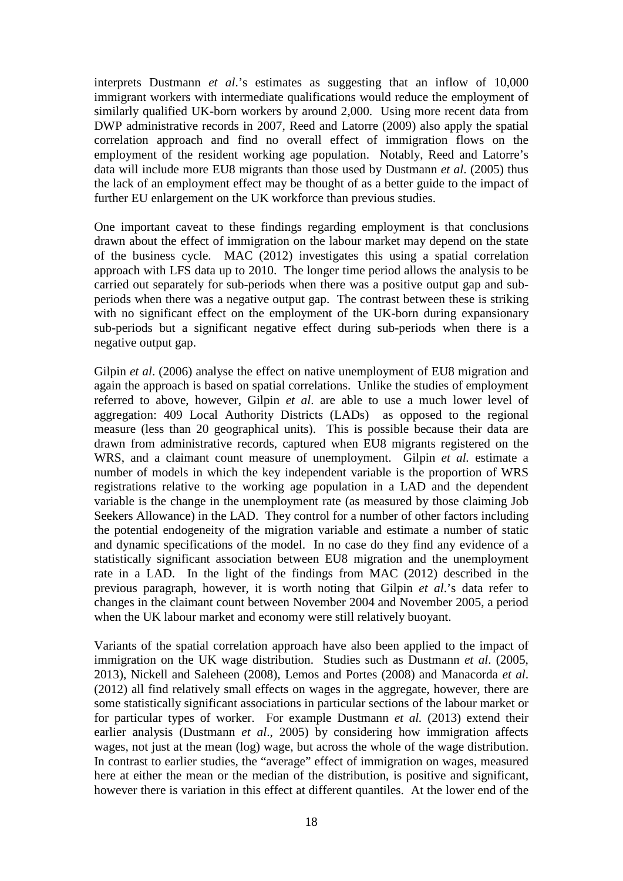interprets Dustmann *et al*.'s estimates as suggesting that an inflow of 10,000 immigrant workers with intermediate qualifications would reduce the employment of similarly qualified UK-born workers by around 2,000. Using more recent data from DWP administrative records in 2007, Reed and Latorre (2009) also apply the spatial correlation approach and find no overall effect of immigration flows on the employment of the resident working age population. Notably, Reed and Latorre's data will include more EU8 migrants than those used by Dustmann *et al*. (2005) thus the lack of an employment effect may be thought of as a better guide to the impact of further EU enlargement on the UK workforce than previous studies.

One important caveat to these findings regarding employment is that conclusions drawn about the effect of immigration on the labour market may depend on the state of the business cycle. MAC (2012) investigates this using a spatial correlation approach with LFS data up to 2010. The longer time period allows the analysis to be carried out separately for sub-periods when there was a positive output gap and subperiods when there was a negative output gap. The contrast between these is striking with no significant effect on the employment of the UK-born during expansionary sub-periods but a significant negative effect during sub-periods when there is a negative output gap.

Gilpin *et al*. (2006) analyse the effect on native unemployment of EU8 migration and again the approach is based on spatial correlations. Unlike the studies of employment referred to above, however, Gilpin *et al*. are able to use a much lower level of aggregation: 409 Local Authority Districts (LADs) as opposed to the regional measure (less than 20 geographical units). This is possible because their data are drawn from administrative records, captured when EU8 migrants registered on the WRS, and a claimant count measure of unemployment. Gilpin *et al.* estimate a number of models in which the key independent variable is the proportion of WRS registrations relative to the working age population in a LAD and the dependent variable is the change in the unemployment rate (as measured by those claiming Job Seekers Allowance) in the LAD. They control for a number of other factors including the potential endogeneity of the migration variable and estimate a number of static and dynamic specifications of the model. In no case do they find any evidence of a statistically significant association between EU8 migration and the unemployment rate in a LAD. In the light of the findings from MAC (2012) described in the previous paragraph, however, it is worth noting that Gilpin *et al*.'s data refer to changes in the claimant count between November 2004 and November 2005, a period when the UK labour market and economy were still relatively buoyant.

Variants of the spatial correlation approach have also been applied to the impact of immigration on the UK wage distribution. Studies such as Dustmann *et al*. (2005, 2013), Nickell and Saleheen (2008), Lemos and Portes (2008) and Manacorda *et al*. (2012) all find relatively small effects on wages in the aggregate, however, there are some statistically significant associations in particular sections of the labour market or for particular types of worker. For example Dustmann *et al.* (2013) extend their earlier analysis (Dustmann *et al*., 2005) by considering how immigration affects wages, not just at the mean (log) wage, but across the whole of the wage distribution. In contrast to earlier studies, the "average" effect of immigration on wages, measured here at either the mean or the median of the distribution, is positive and significant, however there is variation in this effect at different quantiles. At the lower end of the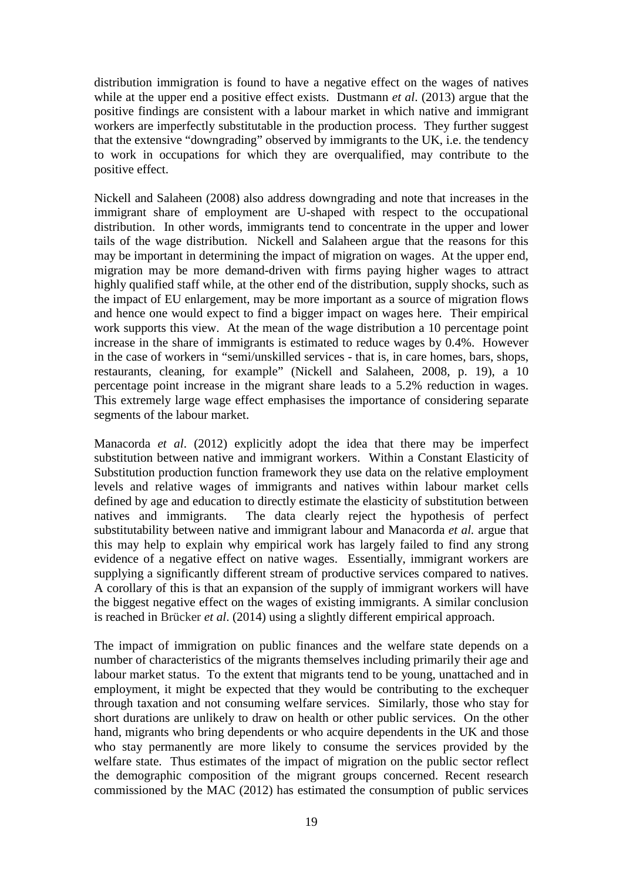distribution immigration is found to have a negative effect on the wages of natives while at the upper end a positive effect exists. Dustmann *et al*. (2013) argue that the positive findings are consistent with a labour market in which native and immigrant workers are imperfectly substitutable in the production process. They further suggest that the extensive "downgrading" observed by immigrants to the UK, i.e. the tendency to work in occupations for which they are overqualified, may contribute to the positive effect.

Nickell and Salaheen (2008) also address downgrading and note that increases in the immigrant share of employment are U-shaped with respect to the occupational distribution. In other words, immigrants tend to concentrate in the upper and lower tails of the wage distribution. Nickell and Salaheen argue that the reasons for this may be important in determining the impact of migration on wages. At the upper end, migration may be more demand-driven with firms paying higher wages to attract highly qualified staff while, at the other end of the distribution, supply shocks, such as the impact of EU enlargement, may be more important as a source of migration flows and hence one would expect to find a bigger impact on wages here. Their empirical work supports this view. At the mean of the wage distribution a 10 percentage point increase in the share of immigrants is estimated to reduce wages by 0.4%. However in the case of workers in "semi/unskilled services - that is, in care homes, bars, shops, restaurants, cleaning, for example" (Nickell and Salaheen, 2008, p. 19), a 10 percentage point increase in the migrant share leads to a 5.2% reduction in wages. This extremely large wage effect emphasises the importance of considering separate segments of the labour market.

Manacorda *et al*. (2012) explicitly adopt the idea that there may be imperfect substitution between native and immigrant workers. Within a Constant Elasticity of Substitution production function framework they use data on the relative employment levels and relative wages of immigrants and natives within labour market cells defined by age and education to directly estimate the elasticity of substitution between natives and immigrants. The data clearly reject the hypothesis of perfect substitutability between native and immigrant labour and Manacorda *et al.* argue that this may help to explain why empirical work has largely failed to find any strong evidence of a negative effect on native wages. Essentially, immigrant workers are supplying a significantly different stream of productive services compared to natives. A corollary of this is that an expansion of the supply of immigrant workers will have the biggest negative effect on the wages of existing immigrants. A similar conclusion is reached in Brücker *et al*. (2014) using a slightly different empirical approach.

The impact of immigration on public finances and the welfare state depends on a number of characteristics of the migrants themselves including primarily their age and labour market status. To the extent that migrants tend to be young, unattached and in employment, it might be expected that they would be contributing to the exchequer through taxation and not consuming welfare services. Similarly, those who stay for short durations are unlikely to draw on health or other public services. On the other hand, migrants who bring dependents or who acquire dependents in the UK and those who stay permanently are more likely to consume the services provided by the welfare state. Thus estimates of the impact of migration on the public sector reflect the demographic composition of the migrant groups concerned. Recent research commissioned by the MAC (2012) has estimated the consumption of public services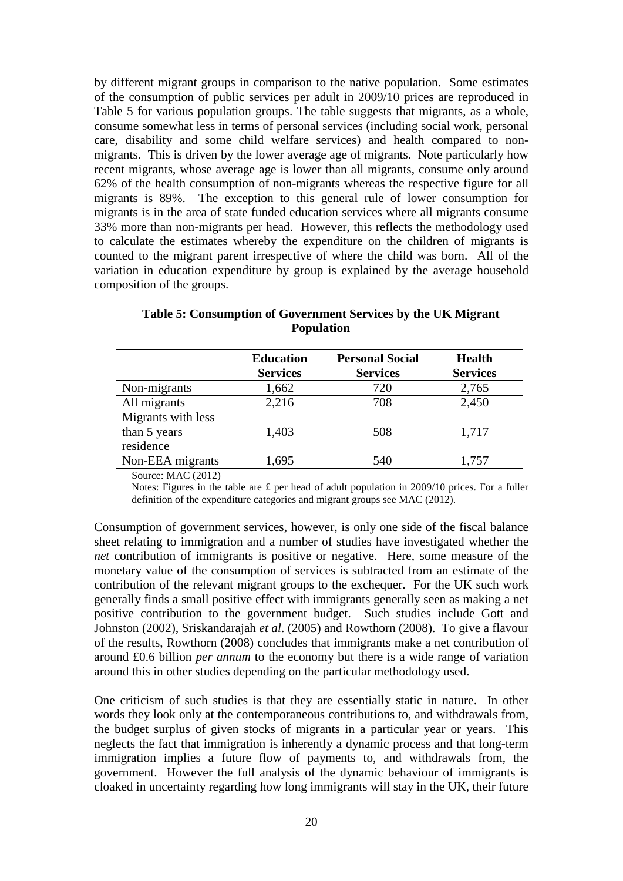by different migrant groups in comparison to the native population. Some estimates of the consumption of public services per adult in 2009/10 prices are reproduced in Table 5 for various population groups. The table suggests that migrants, as a whole, consume somewhat less in terms of personal services (including social work, personal care, disability and some child welfare services) and health compared to nonmigrants. This is driven by the lower average age of migrants. Note particularly how recent migrants, whose average age is lower than all migrants, consume only around 62% of the health consumption of non-migrants whereas the respective figure for all migrants is 89%. The exception to this general rule of lower consumption for migrants is in the area of state funded education services where all migrants consume 33% more than non-migrants per head. However, this reflects the methodology used to calculate the estimates whereby the expenditure on the children of migrants is counted to the migrant parent irrespective of where the child was born. All of the variation in education expenditure by group is explained by the average household composition of the groups.

|                    | <b>Education</b> | <b>Personal Social</b> | <b>Health</b>   |
|--------------------|------------------|------------------------|-----------------|
|                    | <b>Services</b>  | <b>Services</b>        | <b>Services</b> |
| Non-migrants       | 1,662            | 720                    | 2,765           |
| All migrants       | 2,216            | 708                    | 2,450           |
| Migrants with less |                  |                        |                 |
| than 5 years       | 1,403            | 508                    | 1,717           |
| residence          |                  |                        |                 |
| Non-EEA migrants   | 1,695            | 540                    | 1,757           |

**Table 5: Consumption of Government Services by the UK Migrant Population**

Source: MAC (2012)

Notes: Figures in the table are £ per head of adult population in 2009/10 prices. For a fuller definition of the expenditure categories and migrant groups see MAC (2012).

Consumption of government services, however, is only one side of the fiscal balance sheet relating to immigration and a number of studies have investigated whether the *net* contribution of immigrants is positive or negative. Here, some measure of the monetary value of the consumption of services is subtracted from an estimate of the contribution of the relevant migrant groups to the exchequer. For the UK such work generally finds a small positive effect with immigrants generally seen as making a net positive contribution to the government budget. Such studies include Gott and Johnston (2002), Sriskandarajah *et al*. (2005) and Rowthorn (2008). To give a flavour of the results, Rowthorn (2008) concludes that immigrants make a net contribution of around £0.6 billion *per annum* to the economy but there is a wide range of variation around this in other studies depending on the particular methodology used.

One criticism of such studies is that they are essentially static in nature. In other words they look only at the contemporaneous contributions to, and withdrawals from, the budget surplus of given stocks of migrants in a particular year or years. This neglects the fact that immigration is inherently a dynamic process and that long-term immigration implies a future flow of payments to, and withdrawals from, the government. However the full analysis of the dynamic behaviour of immigrants is cloaked in uncertainty regarding how long immigrants will stay in the UK, their future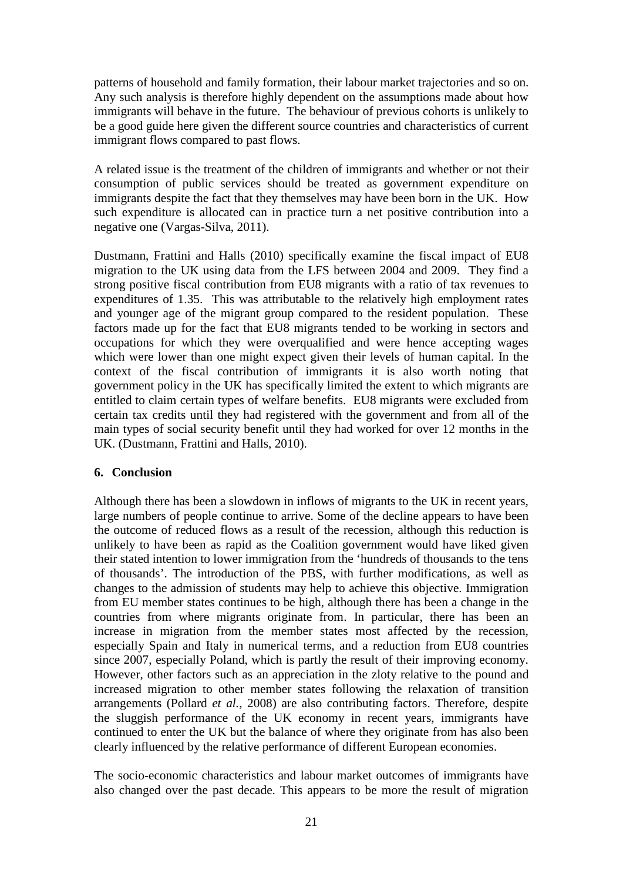patterns of household and family formation, their labour market trajectories and so on. Any such analysis is therefore highly dependent on the assumptions made about how immigrants will behave in the future. The behaviour of previous cohorts is unlikely to be a good guide here given the different source countries and characteristics of current immigrant flows compared to past flows.

A related issue is the treatment of the children of immigrants and whether or not their consumption of public services should be treated as government expenditure on immigrants despite the fact that they themselves may have been born in the UK. How such expenditure is allocated can in practice turn a net positive contribution into a negative one (Vargas-Silva, 2011).

Dustmann, Frattini and Halls (2010) specifically examine the fiscal impact of EU8 migration to the UK using data from the LFS between 2004 and 2009. They find a strong positive fiscal contribution from EU8 migrants with a ratio of tax revenues to expenditures of 1.35. This was attributable to the relatively high employment rates and younger age of the migrant group compared to the resident population. These factors made up for the fact that EU8 migrants tended to be working in sectors and occupations for which they were overqualified and were hence accepting wages which were lower than one might expect given their levels of human capital. In the context of the fiscal contribution of immigrants it is also worth noting that government policy in the UK has specifically limited the extent to which migrants are entitled to claim certain types of welfare benefits. EU8 migrants were excluded from certain tax credits until they had registered with the government and from all of the main types of social security benefit until they had worked for over 12 months in the UK. (Dustmann, Frattini and Halls, 2010).

#### **6. Conclusion**

Although there has been a slowdown in inflows of migrants to the UK in recent years, large numbers of people continue to arrive. Some of the decline appears to have been the outcome of reduced flows as a result of the recession, although this reduction is unlikely to have been as rapid as the Coalition government would have liked given their stated intention to lower immigration from the 'hundreds of thousands to the tens of thousands'. The introduction of the PBS, with further modifications, as well as changes to the admission of students may help to achieve this objective. Immigration from EU member states continues to be high, although there has been a change in the countries from where migrants originate from. In particular, there has been an increase in migration from the member states most affected by the recession, especially Spain and Italy in numerical terms, and a reduction from EU8 countries since 2007, especially Poland, which is partly the result of their improving economy. However, other factors such as an appreciation in the zloty relative to the pound and increased migration to other member states following the relaxation of transition arrangements (Pollard *et al.*, 2008) are also contributing factors. Therefore, despite the sluggish performance of the UK economy in recent years, immigrants have continued to enter the UK but the balance of where they originate from has also been clearly influenced by the relative performance of different European economies.

The socio-economic characteristics and labour market outcomes of immigrants have also changed over the past decade. This appears to be more the result of migration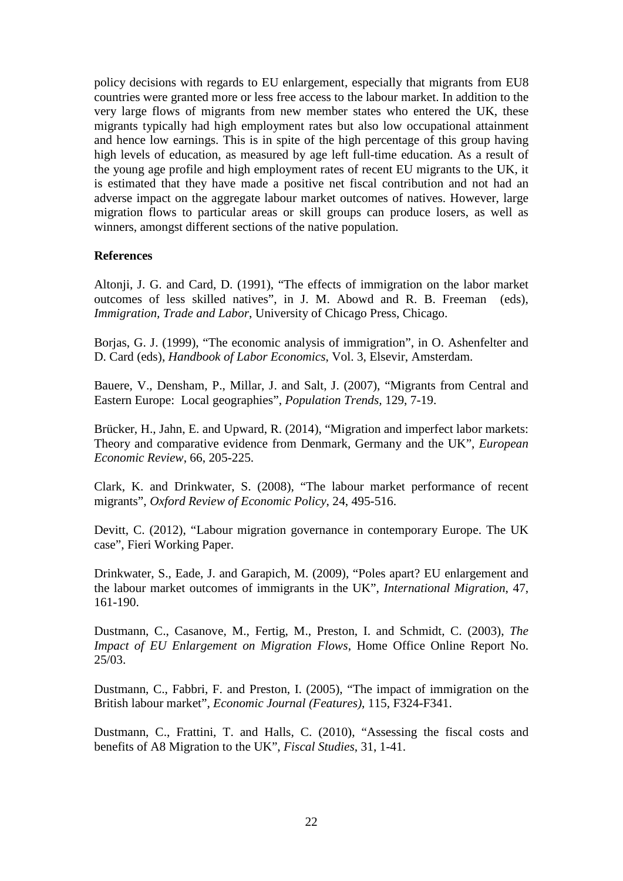policy decisions with regards to EU enlargement, especially that migrants from EU8 countries were granted more or less free access to the labour market. In addition to the very large flows of migrants from new member states who entered the UK, these migrants typically had high employment rates but also low occupational attainment and hence low earnings. This is in spite of the high percentage of this group having high levels of education, as measured by age left full-time education. As a result of the young age profile and high employment rates of recent EU migrants to the UK, it is estimated that they have made a positive net fiscal contribution and not had an adverse impact on the aggregate labour market outcomes of natives. However, large migration flows to particular areas or skill groups can produce losers, as well as winners, amongst different sections of the native population.

#### **References**

Altonji, J. G. and Card, D. (1991), "The effects of immigration on the labor market outcomes of less skilled natives", in J. M. Abowd and R. B. Freeman (eds), *Immigration, Trade and Labor*, University of Chicago Press, Chicago.

Borjas, G. J. (1999), "The economic analysis of immigration", in O. Ashenfelter and D. Card (eds), *Handbook of Labor Economics*, Vol. 3, Elsevir, Amsterdam.

Bauere, V., Densham, P., Millar, J. and Salt, J. (2007), "Migrants from Central and Eastern Europe: Local geographies", *Population Trends,* 129, 7-19.

Brücker, H., Jahn, E. and Upward, R. (2014), "Migration and imperfect labor markets: Theory and comparative evidence from Denmark, Germany and the UK", *European Economic Review*, 66, 205-225.

Clark, K. and Drinkwater, S. (2008), "The labour market performance of recent migrants", *Oxford Review of Economic Policy*, 24, 495-516.

Devitt, C. (2012), "Labour migration governance in contemporary Europe. The UK case", Fieri Working Paper.

Drinkwater, S., Eade, J. and Garapich, M. (2009), "Poles apart? EU enlargement and the labour market outcomes of immigrants in the UK", *International Migration*, 47, 161-190.

Dustmann, C., Casanove, M., Fertig, M., Preston, I. and Schmidt, C. (2003), *The Impact of EU Enlargement on Migration Flows*, Home Office Online Report No. 25/03.

Dustmann, C., Fabbri, F. and Preston, I. (2005), "The impact of immigration on the British labour market", *Economic Journal (Features)*, 115, F324-F341.

Dustmann, C., Frattini, T. and Halls, C. (2010), "Assessing the fiscal costs and benefits of A8 Migration to the UK", *Fiscal Studies*, 31, 1-41.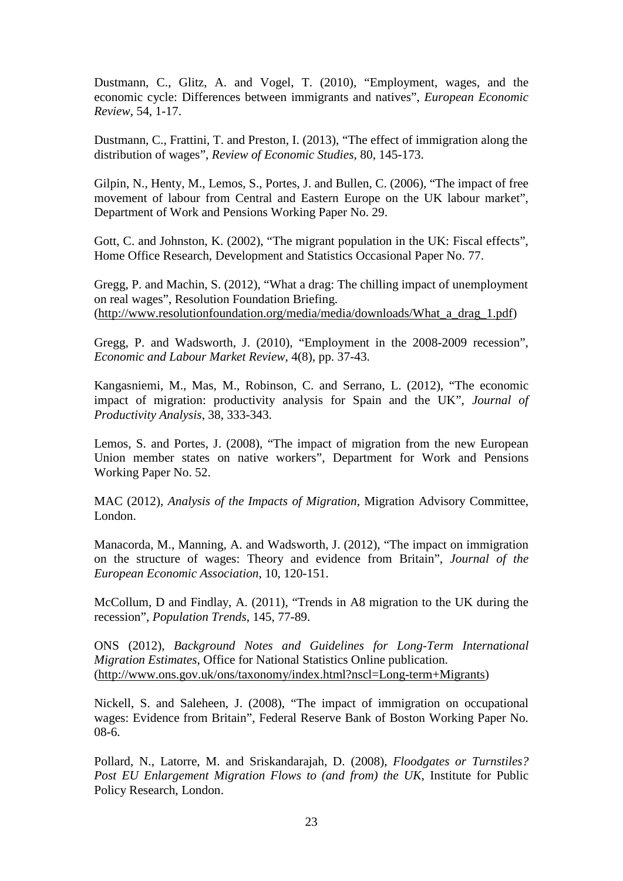Dustmann, C., Glitz, A. and Vogel, T. (2010), "Employment, wages, and the economic cycle: Differences between immigrants and natives", *European Economic Review*, 54, 1-17.

Dustmann, C., Frattini, T. and Preston, I. (2013), "The effect of immigration along the distribution of wages", *Review of Economic Studies*, 80, 145-173.

Gilpin, N., Henty, M., Lemos, S., Portes, J. and Bullen, C. (2006), "The impact of free movement of labour from Central and Eastern Europe on the UK labour market", Department of Work and Pensions Working Paper No. 29.

Gott, C. and Johnston, K. (2002), "The migrant population in the UK: Fiscal effects", Home Office Research, Development and Statistics Occasional Paper No. 77.

Gregg, P. and Machin, S. (2012), "What a drag: The chilling impact of unemployment on real wages", Resolution Foundation Briefing. [\(http://www.resolutionfoundation.org/media/media/downloads/What\\_a\\_drag\\_1.pdf\)](http://www.resolutionfoundation.org/media/media/downloads/What_a_drag_1.pdf)

Gregg, P. and Wadsworth, J. (2010), "Employment in the 2008-2009 recession", *Economic and Labour Market Review*, 4(8), pp. 37-43.

Kangasniemi, M., Mas, M., Robinson, C. and Serrano, L. (2012), "The economic impact of migration: productivity analysis for Spain and the UK", *Journal of Productivity Analysis*, 38, 333-343.

Lemos, S. and Portes, J. (2008), "The impact of migration from the new European Union member states on native workers", Department for Work and Pensions Working Paper No. 52.

MAC (2012), *Analysis of the Impacts of Migration*, Migration Advisory Committee, London.

Manacorda, M., Manning, A. and Wadsworth, J. (2012), "The impact on immigration on the structure of wages: Theory and evidence from Britain", *Journal of the European Economic Association*, 10, 120-151.

McCollum, D and Findlay, A. (2011), "Trends in A8 migration to the UK during the recession", *Population Trends*, 145, 77-89.

ONS (2012), *Background Notes and Guidelines for Long-Term International Migration Estimates*, Office for National Statistics Online publication. [\(http://www.ons.gov.uk/ons/taxonomy/index.html?nscl=Long-term+Migrants\)](http://www.ons.gov.uk/ons/taxonomy/index.html?nscl=Long-term+Migrants)

Nickell, S. and Saleheen, J. (2008), "The impact [of immigration on occupational](http://ideas.repec.org/p/cep/sercdp/0034.html)  [wages: Evidence from Britain"](http://ideas.repec.org/p/cep/sercdp/0034.html), Federal Reserve Bank of Boston Working Paper No. 08-6.

Pollard, N., Latorre, M. and Sriskandarajah, D. (2008), *Floodgates or Turnstiles? Post EU Enlargement Migration Flows to (and from) the UK*, Institute for Public Policy Research, London.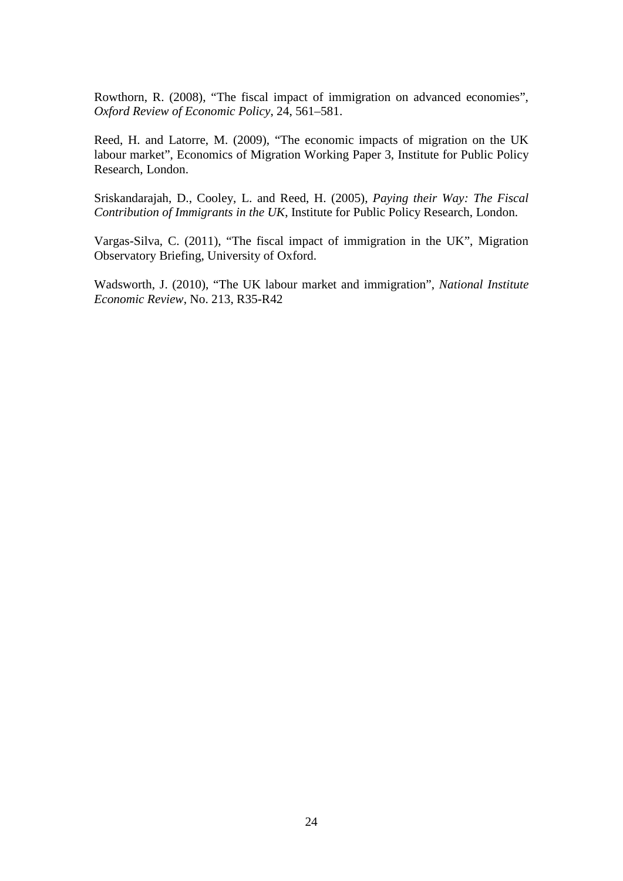Rowthorn, R. (2008), "The fiscal impact of immigration on advanced economies", *Oxford Review of Economic Policy*, 24, 561–581.

Reed, H. and Latorre, M. (2009), "The economic impacts of migration on the UK labour market", Economics of Migration Working Paper 3, Institute for Public Policy Research, London.

Sriskandarajah, D., Cooley, L. and Reed, H. (2005), *Paying their Way: The Fiscal Contribution of Immigrants in the UK*, Institute for Public Policy Research, London.

Vargas-Silva, C. (2011), "The fiscal impact of immigration in the UK", Migration Observatory Briefing, University of Oxford.

Wadsworth, J. (2010), "The UK labour market and immigration", *National Institute Economic Review*, No. 213, R35-R42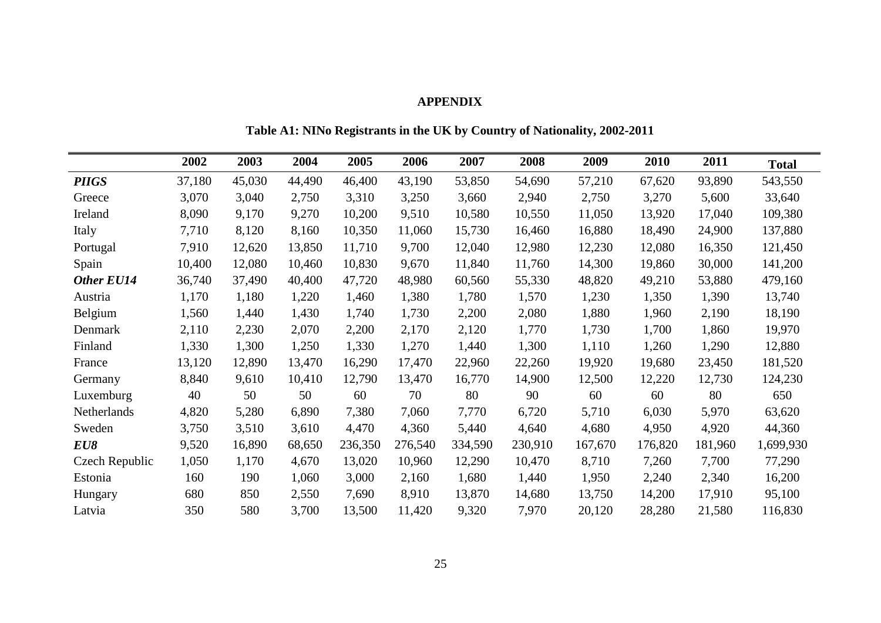#### **APPENDIX**

**2002 2003 2004 2005 2006 2007 2008 2009 2010 2011 Total** *PIIGS* 37,180 45,030 44,490 46,400 43,190 53,850 54,690 57,210 67,620 93,890 543,550 Greece 3,070 3,040 2,750 3,310 3,250 3,660 2,940 2,750 3,270 5,600 33,640 Ireland 8,090 9,170 9,270 10,200 9,510 10,580 10,550 11,050 13,920 17,040 109,380 Italy 7,710 8,120 8,160 10,350 11,060 15,730 16,460 16,880 18,490 24,900 137,880 Portugal 7,910 12,620 13,850 11,710 9,700 12,040 12,980 12,230 12,080 16,350 121,450 Spain 10,400 12,080 10,460 10,830 9,670 11,840 11,760 14,300 19,860 30,000 141,200 *Other EU14* 36,740 37,490 40,400 47,720 48,980 60,560 55,330 48,820 49,210 53,880 479,160 Austria 1,170 1,180 1,220 1,460 1,380 1,780 1,570 1,230 1,350 1,390 13,740 Belgium 1,560 1,440 1,430 1,740 1,730 2,200 2,080 1,880 1,960 2,190 18,190 Denmark 2,110 2,230 2,070 2,200 2,170 2,120 1,770 1,730 1,700 1,860 19,970 Finland 1,330 1,300 1,250 1,330 1,270 1,440 1,300 1,110 1,260 1,290 12,880 France 13,120 12,890 13,470 16,290 17,470 22,960 22,260 19,920 19,680 23,450 181,520 Germany 8,840 9,610 10,410 12,790 13,470 16,770 14,900 12,500 12,220 12,730 124,230 Luxemburg 40 50 50 60 70 80 90 60 60 80 650 Netherlands 4,820 5,280 6,890 7,380 7,060 7,770 6,720 5,710 6,030 5,970 63,620 Sweden 3,750 3,510 3,610 4,470 4,360 5,440 4,640 4,680 4,950 4,920 44,360 *EU8* 9,520 16,890 68,650 236,350 276,540 334,590 230,910 167,670 176,820 181,960 1,699,930 Czech Republic 1,050 1,170 4,670 13,020 10,960 12,290 10,470 8,710 7,260 7,700 77,290 Estonia 160 190 1,060 3,000 2,160 1,680 1,440 1,950 2,240 2,340 16,200 Hungary 680 850 2,550 7,690 8,910 13,870 14,680 13,750 14,200 17,910 95,100 Latvia 350 580 3,700 13,500 11,420 9,320 7,970 20,120 28,280 21,580 116,830

**Table A1: NINo Registrants in the UK by Country of Nationality, 2002-2011**